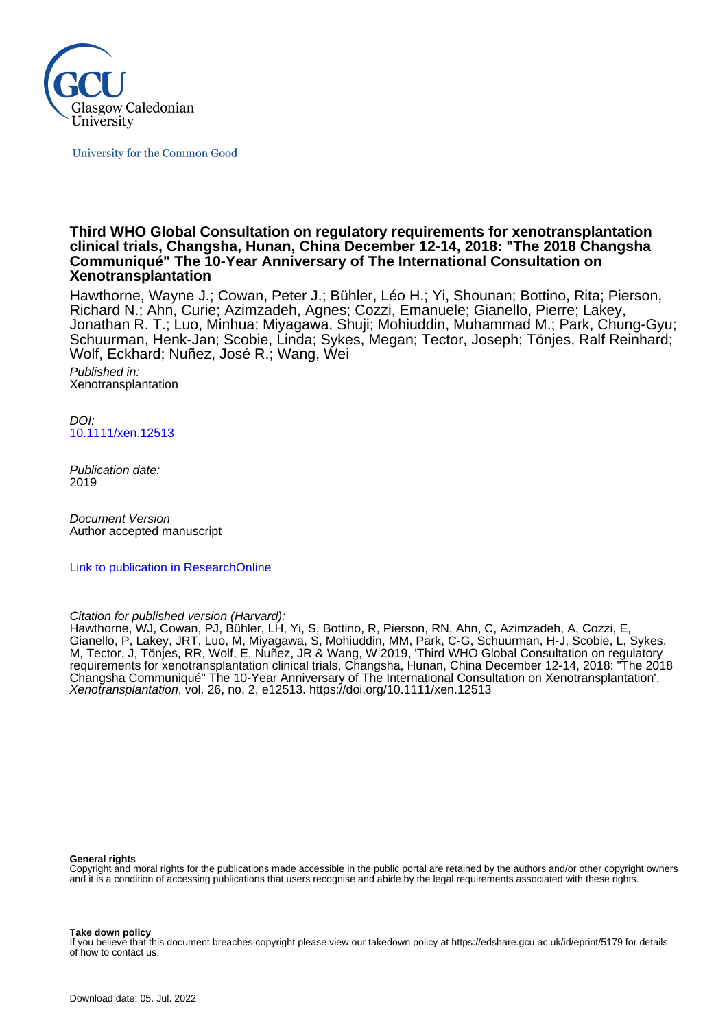

University for the Common Good

#### **Third WHO Global Consultation on regulatory requirements for xenotransplantation clinical trials, Changsha, Hunan, China December 12-14, 2018: "The 2018 Changsha Communiqué" The 10-Year Anniversary of The International Consultation on Xenotransplantation**

Hawthorne, Wayne J.; Cowan, Peter J.; Bühler, Léo H.; Yi, Shounan; Bottino, Rita; Pierson, Richard N.; Ahn, Curie; Azimzadeh, Agnes; Cozzi, Emanuele; Gianello, Pierre; Lakey, Jonathan R. T.; Luo, Minhua; Miyagawa, Shuji; Mohiuddin, Muhammad M.; Park, Chung-Gyu; Schuurman, Henk-Jan; Scobie, Linda; Sykes, Megan; Tector, Joseph; Tönjes, Ralf Reinhard; Wolf, Eckhard; Nuñez, José R.; Wang, Wei

Published in: Xenotransplantation

DOI: [10.1111/xen.12513](https://doi.org/10.1111/xen.12513)

Publication date: 2019

Document Version Author accepted manuscript

[Link to publication in ResearchOnline](https://researchonline.gcu.ac.uk/en/publications/cffd52f9-c742-4d17-b924-982509c2dfcf)

Citation for published version (Harvard):

Hawthorne, WJ, Cowan, PJ, Bühler, LH, Yi, S, Bottino, R, Pierson, RN, Ahn, C, Azimzadeh, A, Cozzi, E, Gianello, P, Lakey, JRT, Luo, M, Miyagawa, S, Mohiuddin, MM, Park, C-G, Schuurman, H-J, Scobie, L, Sykes, M, Tector, J, Tönjes, RR, Wolf, E, Nuñez, JR & Wang, W 2019, 'Third WHO Global Consultation on regulatory requirements for xenotransplantation clinical trials, Changsha, Hunan, China December 12-14, 2018: "The 2018 Changsha Communiqué" The 10-Year Anniversary of The International Consultation on Xenotransplantation', Xenotransplantation, vol. 26, no. 2, e12513.<https://doi.org/10.1111/xen.12513>

**General rights**

Copyright and moral rights for the publications made accessible in the public portal are retained by the authors and/or other copyright owners and it is a condition of accessing publications that users recognise and abide by the legal requirements associated with these rights.

**Take down policy**

If you believe that this document breaches copyright please view our takedown policy at https://edshare.gcu.ac.uk/id/eprint/5179 for details of how to contact us.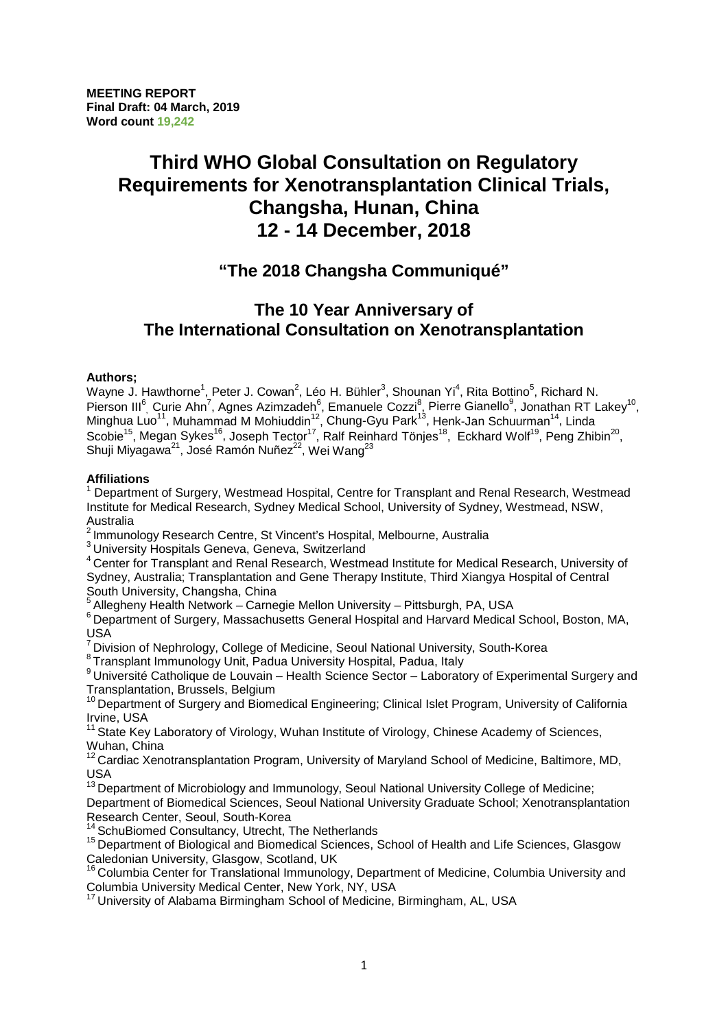# **Third WHO Global Consultation on Regulatory Requirements for Xenotransplantation Clinical Trials, Changsha, Hunan, China 12 - 14 December, 2018**

# **"The 2018 Changsha Communiqué"**

# **The 10 Year Anniversary of The International Consultation on Xenotransplantation**

#### **Authors;**

Wayne J. Hawthorne<sup>1</sup>, Peter J. Cowan<sup>2</sup>, Léo H. Bühler<sup>3</sup>, Shounan Yi<sup>4</sup>, Rita Bottino<sup>5</sup>, Richard N. Pierson III<sup>6</sup>, Curie Ahn<sup>7</sup>, Agnes Azimzadeh<sup>6</sup>, Emanuele Cozzi<sup>8</sup>, Pierre Gianello<sup>9</sup>, Jonathan RT Lakey<sup>10</sup>, Minghua Luo<sup>11</sup>, Muhammad M Mohiuddin<sup>12</sup>, Chung-Gyu Park<sup>13</sup>, Henk-Jan Schuurman<sup>14</sup>, Linda Scobie<sup>15</sup>, Megan Sykes<sup>16</sup>, Joseph Tector<sup>17</sup>, Ralf Reinhard Tönjes<sup>18</sup>, Eckhard Wolf<sup>19</sup>, Peng Zhibin<sup>20</sup>, Shuji Miyagawa<sup>21</sup>, José Ramón Nuñez<sup>22</sup>, Wei Wang<sup>23</sup>

#### **Affiliations**

<sup>1</sup> Department of Surgery, Westmead Hospital, Centre for Transplant and Renal Research, Westmead Institute for Medical Research, Sydney Medical School, University of Sydney, Westmead, NSW, Australia

<sup>2</sup> Immunology Research Centre, St Vincent's Hospital, Melbourne, Australia

3 University Hospitals Geneva, Geneva, Switzerland

<sup>4</sup> Center for Transplant and Renal Research, Westmead Institute for Medical Research, University of Sydney, Australia; Transplantation and Gene Therapy Institute, Third Xiangya Hospital of Central South University, Changsha, China

<sup>5</sup> Allegheny Health Network – Carnegie Mellon University – Pittsburgh, PA, USA

<sup>6</sup> Department of Surgery, Massachusetts General Hospital and Harvard Medical School, Boston, MA, USA

 $^7$  Division of Nephrology, College of Medicine, Seoul National University, South-Korea<br>
<sup>8</sup> Transplant Immunology Unit, Padua University Hospital, Padua, Italy

<sup>9</sup> Université Catholique de Louvain – Health Science Sector – Laboratory of Experimental Surgery and Transplantation, Brussels, Belgium

<sup>10</sup> Department of Surgery and Biomedical Engineering; Clinical Islet Program, University of California Irvine, USA

 $11$  State Key Laboratory of Virology, Wuhan Institute of Virology, Chinese Academy of Sciences, Wuhan, China

 $12$  Cardiac Xenotransplantation Program, University of Maryland School of Medicine, Baltimore, MD, USA

 $13$  Department of Microbiology and Immunology, Seoul National University College of Medicine; Department of Biomedical Sciences, Seoul National University Graduate School; Xenotransplantation Research Center, Seoul, South-Korea<br>
<sup>14</sup> SchuBiomed Consultancy, Utrecht, The Netherlands

<sup>15</sup> Department of Biological and Biomedical Sciences, School of Health and Life Sciences, Glasgow Caledonian University, Glasgow, Scotland, UK

<sup>16</sup> Columbia Center for Translational Immunology, Department of Medicine, Columbia University and Columbia University Medical Center, New York, NY, USA

<sup>17</sup> University of Alabama Birmingham School of Medicine, Birmingham, AL, USA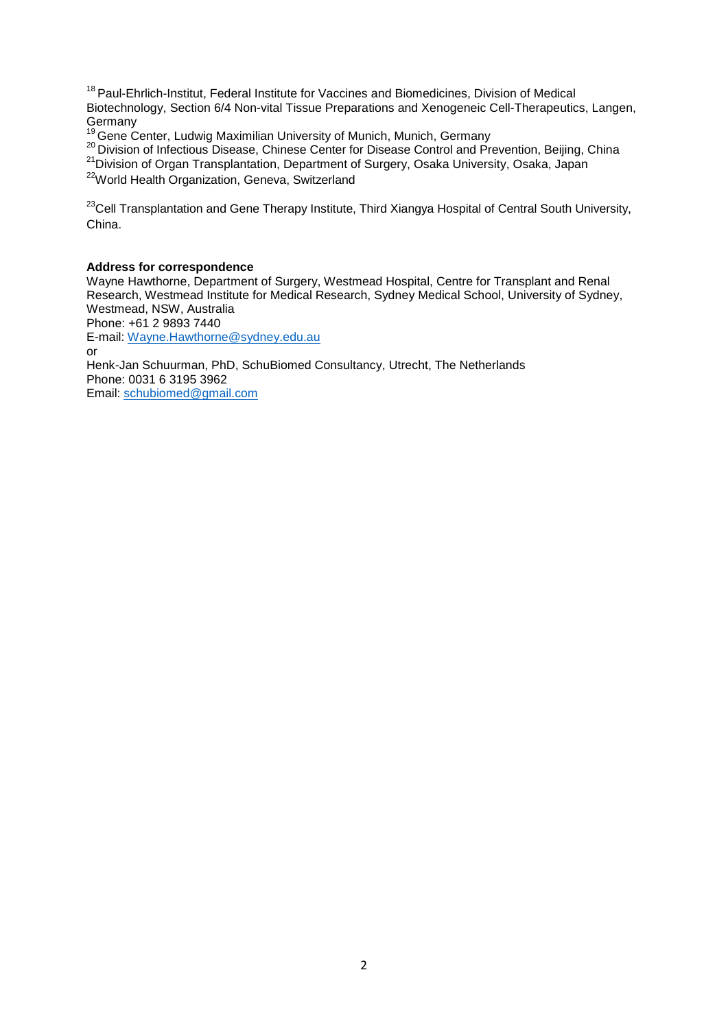<sup>18</sup> Paul-Ehrlich-Institut, Federal Institute for Vaccines and Biomedicines, Division of Medical Biotechnology, Section 6/4 Non-vital Tissue Preparations and Xenogeneic Cell-Therapeutics, Langen,<br>Germany<br><sup>19</sup> Cana Cantas Ludvia Maximilian University of Maxiah Maxiah Cannagy

<sup>19</sup> Gene Center, Ludwig Maximilian University of Munich, Munich, Germany 20<br><sup>20</sup> Division of Infectious Disease, Chinese Center for Disease Control and Prevention, Beijing, China

<sup>21</sup> Division of Organ Transplantation, Department of Surgery, Osaka University, Osaka, Japan

<sup>22</sup>World Health Organization, Geneva, Switzerland

<sup>23</sup>Cell Transplantation and Gene Therapy Institute, Third Xiangya Hospital of Central South University, China.

#### **Address for correspondence**

Wayne Hawthorne, Department of Surgery, Westmead Hospital, Centre for Transplant and Renal Research, Westmead Institute for Medical Research, Sydney Medical School, University of Sydney, Westmead, NSW, Australia

Phone: +61 2 9893 7440

E-mail: [Wayne.Hawthorne@sydney.edu.au](mailto:Wayne.Hawthorne@sydney.edu.au) or

Henk-Jan Schuurman, PhD, SchuBiomed Consultancy, Utrecht, The Netherlands Phone: 0031 6 3195 3962 Email: [schubiomed@gmail.com](mailto:schubiomed@gmail.com)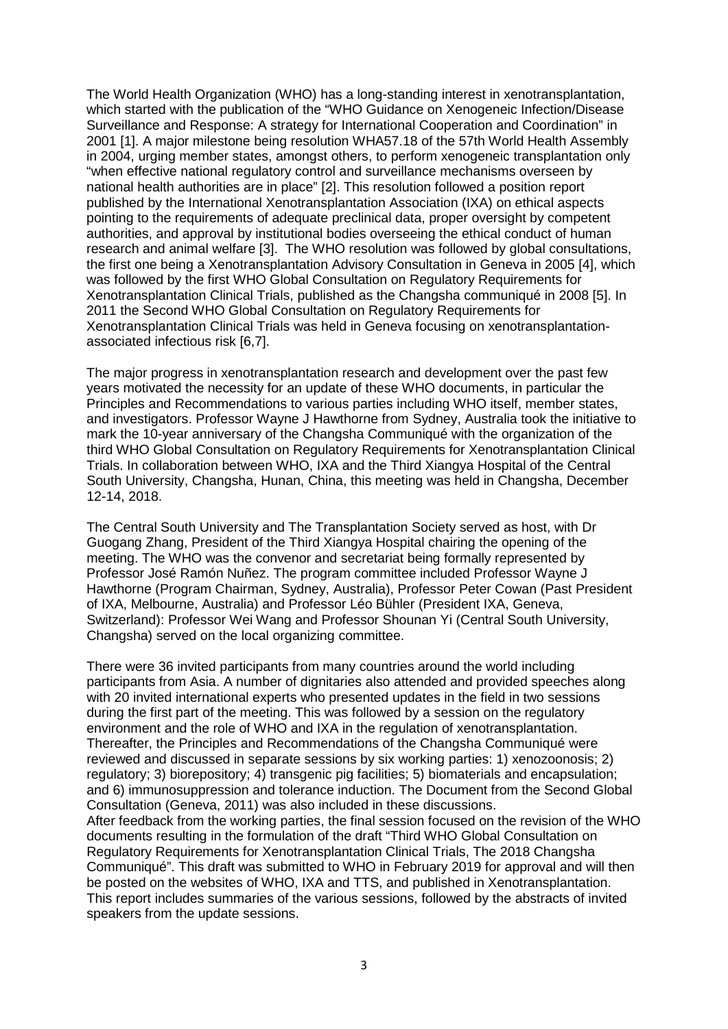The World Health Organization (WHO) has a long-standing interest in xenotransplantation, which started with the publication of the "WHO Guidance on Xenogeneic Infection/Disease Surveillance and Response: A strategy for International Cooperation and Coordination" in 2001 [1]. A major milestone being resolution WHA57.18 of the 57th World Health Assembly in 2004, urging member states, amongst others, to perform xenogeneic transplantation only "when effective national regulatory control and surveillance mechanisms overseen by national health authorities are in place" [2]. This resolution followed a position report published by the International Xenotransplantation Association (IXA) on ethical aspects pointing to the requirements of adequate preclinical data, proper oversight by competent authorities, and approval by institutional bodies overseeing the ethical conduct of human research and animal welfare [3]. The WHO resolution was followed by global consultations, the first one being a Xenotransplantation Advisory Consultation in Geneva in 2005 [4], which was followed by the first WHO Global Consultation on Regulatory Requirements for Xenotransplantation Clinical Trials, published as the Changsha communiqué in 2008 [5]. In 2011 the Second WHO Global Consultation on Regulatory Requirements for Xenotransplantation Clinical Trials was held in Geneva focusing on xenotransplantationassociated infectious risk [6,7].

The major progress in xenotransplantation research and development over the past few years motivated the necessity for an update of these WHO documents, in particular the Principles and Recommendations to various parties including WHO itself, member states, and investigators. Professor Wayne J Hawthorne from Sydney, Australia took the initiative to mark the 10-year anniversary of the Changsha Communiqué with the organization of the third WHO Global Consultation on Regulatory Requirements for Xenotransplantation Clinical Trials. In collaboration between WHO, IXA and the Third Xiangya Hospital of the Central South University, Changsha, Hunan, China, this meeting was held in Changsha, December 12-14, 2018.

The Central South University and The Transplantation Society served as host, with Dr Guogang Zhang, President of the Third Xiangya Hospital chairing the opening of the meeting. The WHO was the convenor and secretariat being formally represented by Professor José Ramón Nuñez. The program committee included Professor Wayne J Hawthorne (Program Chairman, Sydney, Australia), Professor Peter Cowan (Past President of IXA, Melbourne, Australia) and Professor Léo Bühler (President IXA, Geneva, Switzerland): Professor Wei Wang and Professor Shounan Yi (Central South University, Changsha) served on the local organizing committee.

There were 36 invited participants from many countries around the world including participants from Asia. A number of dignitaries also attended and provided speeches along with 20 invited international experts who presented updates in the field in two sessions during the first part of the meeting. This was followed by a session on the regulatory environment and the role of WHO and IXA in the regulation of xenotransplantation. Thereafter, the Principles and Recommendations of the Changsha Communiqué were reviewed and discussed in separate sessions by six working parties: 1) xenozoonosis; 2) regulatory; 3) biorepository; 4) transgenic pig facilities; 5) biomaterials and encapsulation; and 6) immunosuppression and tolerance induction. The Document from the Second Global Consultation (Geneva, 2011) was also included in these discussions.

After feedback from the working parties, the final session focused on the revision of the WHO documents resulting in the formulation of the draft "Third WHO Global Consultation on Regulatory Requirements for Xenotransplantation Clinical Trials, The 2018 Changsha Communiqué". This draft was submitted to WHO in February 2019 for approval and will then be posted on the websites of WHO, IXA and TTS, and published in Xenotransplantation. This report includes summaries of the various sessions, followed by the abstracts of invited speakers from the update sessions.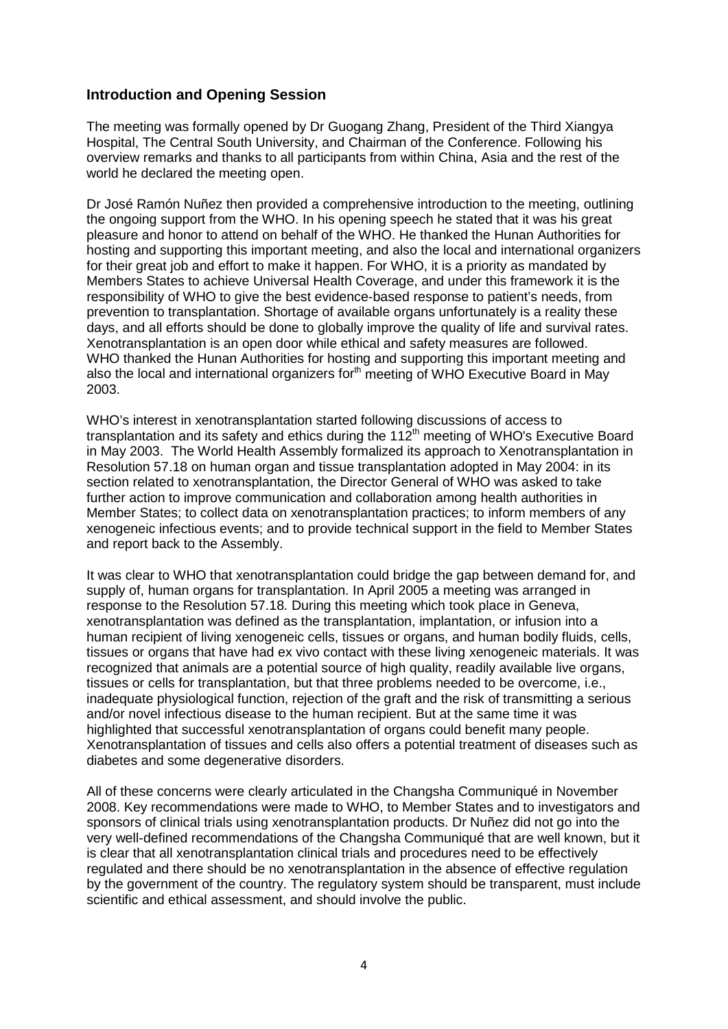# **Introduction and Opening Session**

The meeting was formally opened by Dr Guogang Zhang, President of the Third Xiangya Hospital, The Central South University, and Chairman of the Conference. Following his overview remarks and thanks to all participants from within China, Asia and the rest of the world he declared the meeting open.

Dr José Ramón Nuñez then provided a comprehensive introduction to the meeting, outlining the ongoing support from the WHO. In his opening speech he stated that it was his great pleasure and honor to attend on behalf of the WHO. He thanked the Hunan Authorities for hosting and supporting this important meeting, and also the local and international organizers for their great job and effort to make it happen. For WHO, it is a priority as mandated by Members States to achieve Universal Health Coverage, and under this framework it is the responsibility of WHO to give the best evidence-based response to patient's needs, from prevention to transplantation. Shortage of available organs unfortunately is a reality these days, and all efforts should be done to globally improve the quality of life and survival rates. Xenotransplantation is an open door while ethical and safety measures are followed. WHO thanked the Hunan Authorities for hosting and supporting this important meeting and also the local and international organizers for<sup>th</sup> meeting of WHO Executive Board in May 2003.

WHO's interest in xenotransplantation started following discussions of access to transplantation and its safety and ethics during the 11 $2<sup>th</sup>$  meeting of WHO's Executive Board in May 2003. The World Health Assembly formalized its approach to Xenotransplantation in Resolution 57.18 on human organ and tissue transplantation adopted in May 2004: in its section related to xenotransplantation, the Director General of WHO was asked to take further action to improve communication and collaboration among health authorities in Member States; to collect data on xenotransplantation practices; to inform members of any xenogeneic infectious events; and to provide technical support in the field to Member States and report back to the Assembly.

It was clear to WHO that xenotransplantation could bridge the gap between demand for, and supply of, human organs for transplantation. In April 2005 a meeting was arranged in response to the Resolution 57.18. During this meeting which took place in Geneva, xenotransplantation was defined as the transplantation, implantation, or infusion into a human recipient of living xenogeneic cells, tissues or organs, and human bodily fluids, cells, tissues or organs that have had ex vivo contact with these living xenogeneic materials. It was recognized that animals are a potential source of high quality, readily available live organs, tissues or cells for transplantation, but that three problems needed to be overcome, i.e., inadequate physiological function, rejection of the graft and the risk of transmitting a serious and/or novel infectious disease to the human recipient. But at the same time it was highlighted that successful xenotransplantation of organs could benefit many people. Xenotransplantation of tissues and cells also offers a potential treatment of diseases such as diabetes and some degenerative disorders.

All of these concerns were clearly articulated in the Changsha Communiqué in November 2008. Key recommendations were made to WHO, to Member States and to investigators and sponsors of clinical trials using xenotransplantation products. Dr Nuñez did not go into the very well-defined recommendations of the Changsha Communiqué that are well known, but it is clear that all xenotransplantation clinical trials and procedures need to be effectively regulated and there should be no xenotransplantation in the absence of effective regulation by the government of the country. The regulatory system should be transparent, must include scientific and ethical assessment, and should involve the public.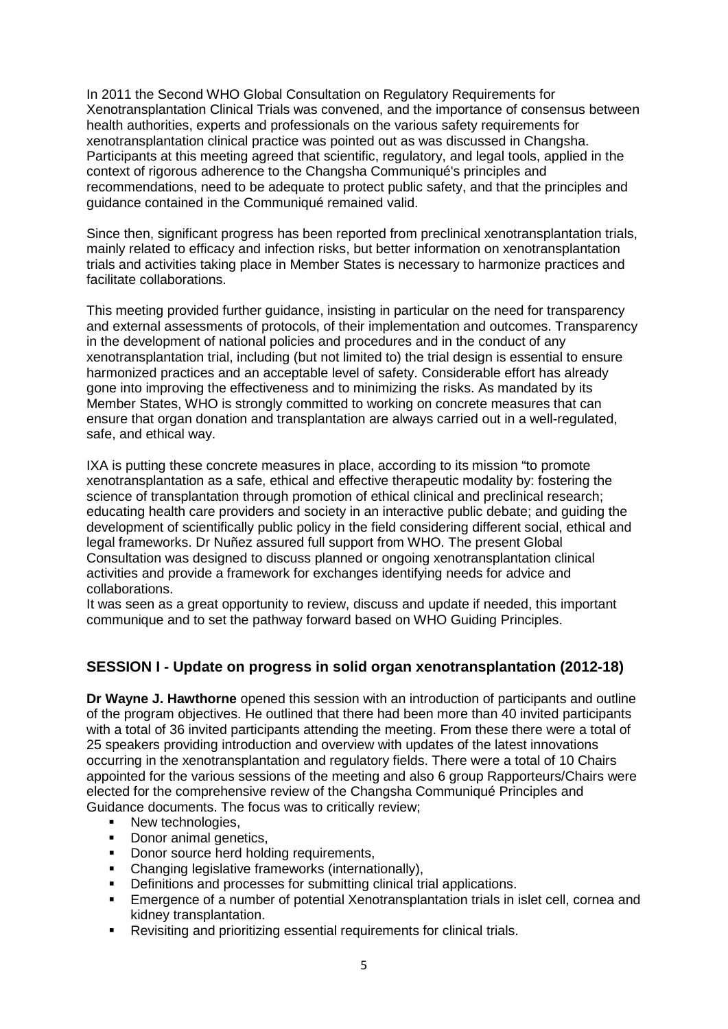In 2011 the Second WHO Global Consultation on Regulatory Requirements for Xenotransplantation Clinical Trials was convened, and the importance of consensus between health authorities, experts and professionals on the various safety requirements for xenotransplantation clinical practice was pointed out as was discussed in Changsha. Participants at this meeting agreed that scientific, regulatory, and legal tools, applied in the context of rigorous adherence to the Changsha Communiqué's principles and recommendations, need to be adequate to protect public safety, and that the principles and guidance contained in the Communiqué remained valid.

Since then, significant progress has been reported from preclinical xenotransplantation trials, mainly related to efficacy and infection risks, but better information on xenotransplantation trials and activities taking place in Member States is necessary to harmonize practices and facilitate collaborations.

This meeting provided further guidance, insisting in particular on the need for transparency and external assessments of protocols, of their implementation and outcomes. Transparency in the development of national policies and procedures and in the conduct of any xenotransplantation trial, including (but not limited to) the trial design is essential to ensure harmonized practices and an acceptable level of safety. Considerable effort has already gone into improving the effectiveness and to minimizing the risks. As mandated by its Member States, WHO is strongly committed to working on concrete measures that can ensure that organ donation and transplantation are always carried out in a well-regulated, safe, and ethical way.

IXA is putting these concrete measures in place, according to its mission "to promote xenotransplantation as a safe, ethical and effective therapeutic modality by: fostering the science of transplantation through promotion of ethical clinical and preclinical research; educating health care providers and society in an interactive public debate; and guiding the development of scientifically public policy in the field considering different social, ethical and legal frameworks. Dr Nuñez assured full support from WHO. The present Global Consultation was designed to discuss planned or ongoing xenotransplantation clinical activities and provide a framework for exchanges identifying needs for advice and collaborations.

It was seen as a great opportunity to review, discuss and update if needed, this important communique and to set the pathway forward based on WHO Guiding Principles.

# **SESSION I - Update on progress in solid organ xenotransplantation (2012-18)**

**Dr Wayne J. Hawthorne** opened this session with an introduction of participants and outline of the program objectives. He outlined that there had been more than 40 invited participants with a total of 36 invited participants attending the meeting. From these there were a total of 25 speakers providing introduction and overview with updates of the latest innovations occurring in the xenotransplantation and regulatory fields. There were a total of 10 Chairs appointed for the various sessions of the meeting and also 6 group Rapporteurs/Chairs were elected for the comprehensive review of the Changsha Communiqué Principles and Guidance documents. The focus was to critically review;

- New technologies,
- Donor animal genetics,
- Donor source herd holding requirements,
- Changing legislative frameworks (internationally),
- **•** Definitions and processes for submitting clinical trial applications.
- Emergence of a number of potential Xenotransplantation trials in islet cell, cornea and kidney transplantation.
- Revisiting and prioritizing essential requirements for clinical trials.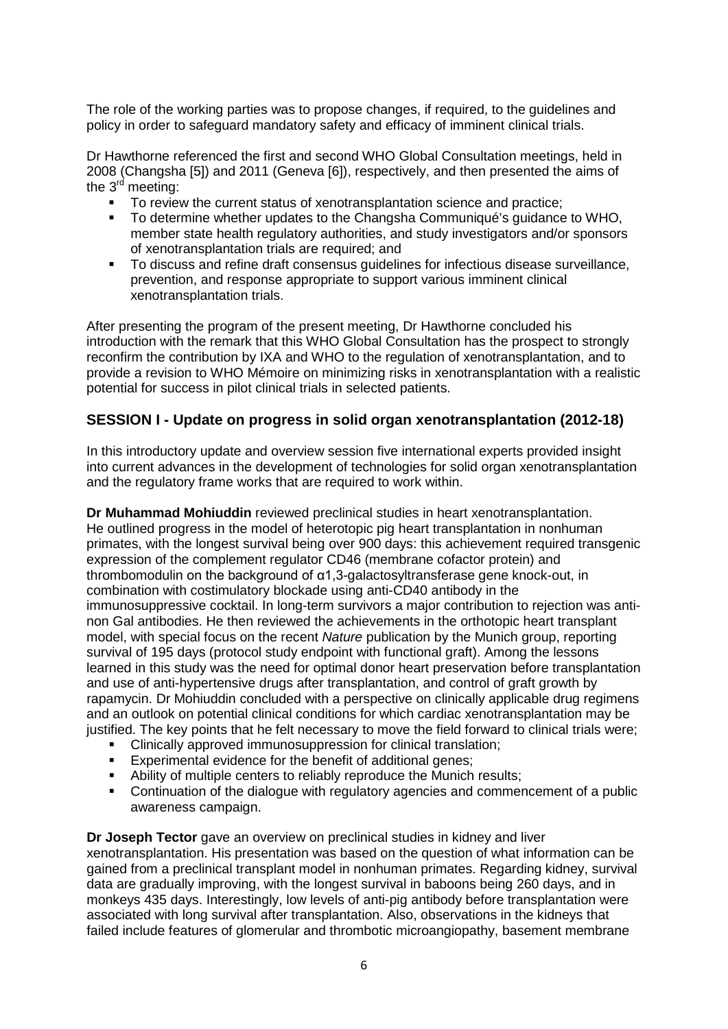The role of the working parties was to propose changes, if required, to the guidelines and policy in order to safeguard mandatory safety and efficacy of imminent clinical trials.

Dr Hawthorne referenced the first and second WHO Global Consultation meetings, held in 2008 (Changsha [5]) and 2011 (Geneva [6]), respectively, and then presented the aims of the  $3<sup>rd</sup>$  meeting:

- To review the current status of xenotransplantation science and practice;
- To determine whether updates to the Changsha Communiqué's guidance to WHO, member state health regulatory authorities, and study investigators and/or sponsors of xenotransplantation trials are required; and
- To discuss and refine draft consensus guidelines for infectious disease surveillance, prevention, and response appropriate to support various imminent clinical xenotransplantation trials.

After presenting the program of the present meeting, Dr Hawthorne concluded his introduction with the remark that this WHO Global Consultation has the prospect to strongly reconfirm the contribution by IXA and WHO to the regulation of xenotransplantation, and to provide a revision to WHO Mémoire on minimizing risks in xenotransplantation with a realistic potential for success in pilot clinical trials in selected patients.

# **SESSION I - Update on progress in solid organ xenotransplantation (2012-18)**

In this introductory update and overview session five international experts provided insight into current advances in the development of technologies for solid organ xenotransplantation and the regulatory frame works that are required to work within.

**Dr Muhammad Mohiuddin** reviewed preclinical studies in heart xenotransplantation. He outlined progress in the model of heterotopic pig heart transplantation in nonhuman primates, with the longest survival being over 900 days: this achievement required transgenic expression of the complement regulator CD46 (membrane cofactor protein) and thrombomodulin on the background of α1,3-galactosyltransferase gene knock-out, in combination with costimulatory blockade using anti-CD40 antibody in the immunosuppressive cocktail. In long-term survivors a major contribution to rejection was antinon Gal antibodies. He then reviewed the achievements in the orthotopic heart transplant model, with special focus on the recent *Nature* publication by the Munich group, reporting survival of 195 days (protocol study endpoint with functional graft). Among the lessons learned in this study was the need for optimal donor heart preservation before transplantation and use of anti-hypertensive drugs after transplantation, and control of graft growth by rapamycin. Dr Mohiuddin concluded with a perspective on clinically applicable drug regimens and an outlook on potential clinical conditions for which cardiac xenotransplantation may be justified. The key points that he felt necessary to move the field forward to clinical trials were;

- Clinically approved immunosuppression for clinical translation;
- **Experimental evidence for the benefit of additional genes;**
- Ability of multiple centers to reliably reproduce the Munich results;
- Continuation of the dialogue with regulatory agencies and commencement of a public awareness campaign.

**Dr Joseph Tector** gave an overview on preclinical studies in kidney and liver xenotransplantation. His presentation was based on the question of what information can be gained from a preclinical transplant model in nonhuman primates. Regarding kidney, survival data are gradually improving, with the longest survival in baboons being 260 days, and in monkeys 435 days. Interestingly, low levels of anti-pig antibody before transplantation were associated with long survival after transplantation. Also, observations in the kidneys that failed include features of glomerular and thrombotic microangiopathy, basement membrane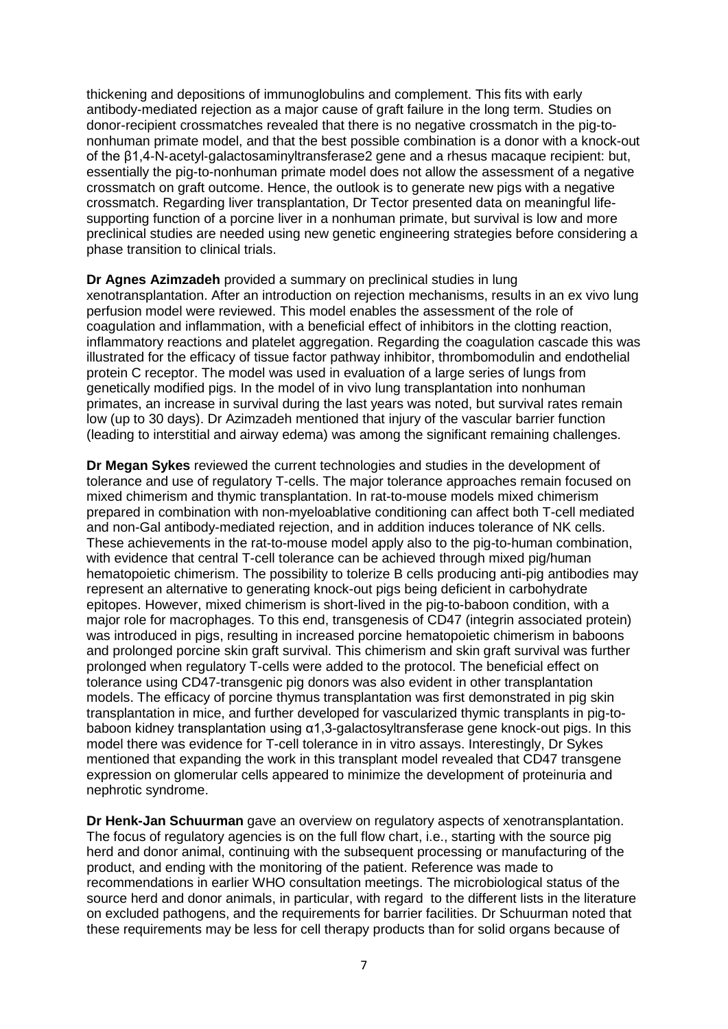thickening and depositions of immunoglobulins and complement. This fits with early antibody-mediated rejection as a major cause of graft failure in the long term. Studies on donor-recipient crossmatches revealed that there is no negative crossmatch in the pig-tononhuman primate model, and that the best possible combination is a donor with a knock-out of the β1,4‐N‐acetyl‐galactosaminyltransferase2 gene and a rhesus macaque recipient: but, essentially the pig-to-nonhuman primate model does not allow the assessment of a negative crossmatch on graft outcome. Hence, the outlook is to generate new pigs with a negative crossmatch. Regarding liver transplantation, Dr Tector presented data on meaningful lifesupporting function of a porcine liver in a nonhuman primate, but survival is low and more preclinical studies are needed using new genetic engineering strategies before considering a phase transition to clinical trials.

**Dr Agnes Azimzadeh** provided a summary on preclinical studies in lung xenotransplantation. After an introduction on rejection mechanisms, results in an ex vivo lung perfusion model were reviewed. This model enables the assessment of the role of coagulation and inflammation, with a beneficial effect of inhibitors in the clotting reaction, inflammatory reactions and platelet aggregation. Regarding the coagulation cascade this was illustrated for the efficacy of tissue factor pathway inhibitor, thrombomodulin and endothelial protein C receptor. The model was used in evaluation of a large series of lungs from genetically modified pigs. In the model of in vivo lung transplantation into nonhuman primates, an increase in survival during the last years was noted, but survival rates remain low (up to 30 days). Dr Azimzadeh mentioned that injury of the vascular barrier function (leading to interstitial and airway edema) was among the significant remaining challenges.

**Dr Megan Sykes** reviewed the current technologies and studies in the development of tolerance and use of regulatory T-cells. The major tolerance approaches remain focused on mixed chimerism and thymic transplantation. In rat-to-mouse models mixed chimerism prepared in combination with non-myeloablative conditioning can affect both T-cell mediated and non-Gal antibody-mediated rejection, and in addition induces tolerance of NK cells. These achievements in the rat-to-mouse model apply also to the pig-to-human combination, with evidence that central T-cell tolerance can be achieved through mixed pig/human hematopoietic chimerism. The possibility to tolerize B cells producing anti-pig antibodies may represent an alternative to generating knock-out pigs being deficient in carbohydrate epitopes. However, mixed chimerism is short-lived in the pig-to-baboon condition, with a major role for macrophages. To this end, transgenesis of CD47 (integrin associated protein) was introduced in pigs, resulting in increased porcine hematopoietic chimerism in baboons and prolonged porcine skin graft survival. This chimerism and skin graft survival was further prolonged when regulatory T-cells were added to the protocol. The beneficial effect on tolerance using CD47-transgenic pig donors was also evident in other transplantation models. The efficacy of porcine thymus transplantation was first demonstrated in pig skin transplantation in mice, and further developed for vascularized thymic transplants in pig-tobaboon kidney transplantation using α1,3-galactosyltransferase gene knock-out pigs. In this model there was evidence for T-cell tolerance in in vitro assays. Interestingly, Dr Sykes mentioned that expanding the work in this transplant model revealed that CD47 transgene expression on glomerular cells appeared to minimize the development of proteinuria and nephrotic syndrome.

**Dr Henk-Jan Schuurman** gave an overview on regulatory aspects of xenotransplantation. The focus of regulatory agencies is on the full flow chart, i.e., starting with the source pig herd and donor animal, continuing with the subsequent processing or manufacturing of the product, and ending with the monitoring of the patient. Reference was made to recommendations in earlier WHO consultation meetings. The microbiological status of the source herd and donor animals, in particular, with regard to the different lists in the literature on excluded pathogens, and the requirements for barrier facilities. Dr Schuurman noted that these requirements may be less for cell therapy products than for solid organs because of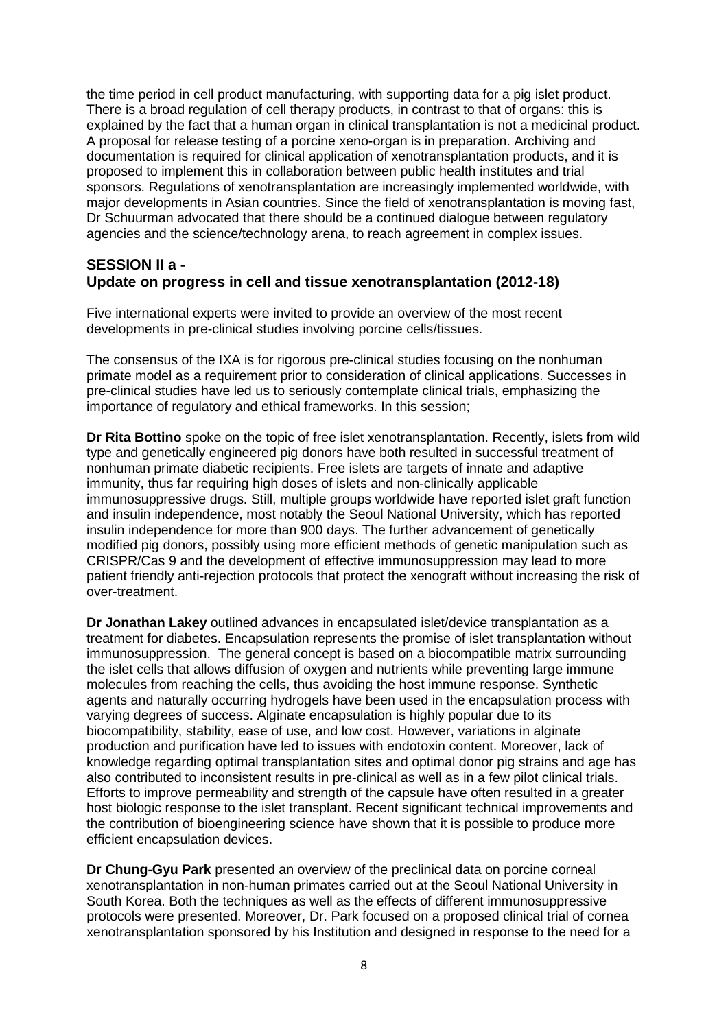the time period in cell product manufacturing, with supporting data for a pig islet product. There is a broad regulation of cell therapy products, in contrast to that of organs: this is explained by the fact that a human organ in clinical transplantation is not a medicinal product. A proposal for release testing of a porcine xeno-organ is in preparation. Archiving and documentation is required for clinical application of xenotransplantation products, and it is proposed to implement this in collaboration between public health institutes and trial sponsors. Regulations of xenotransplantation are increasingly implemented worldwide, with major developments in Asian countries. Since the field of xenotransplantation is moving fast, Dr Schuurman advocated that there should be a continued dialogue between regulatory agencies and the science/technology arena, to reach agreement in complex issues.

### **SESSION II a - Update on progress in cell and tissue xenotransplantation (2012-18)**

Five international experts were invited to provide an overview of the most recent developments in pre-clinical studies involving porcine cells/tissues.

The consensus of the IXA is for rigorous pre-clinical studies focusing on the nonhuman primate model as a requirement prior to consideration of clinical applications. Successes in pre-clinical studies have led us to seriously contemplate clinical trials, emphasizing the importance of regulatory and ethical frameworks. In this session;

**Dr Rita Bottino** spoke on the topic of free islet xenotransplantation. Recently, islets from wild type and genetically engineered pig donors have both resulted in successful treatment of nonhuman primate diabetic recipients. Free islets are targets of innate and adaptive immunity, thus far requiring high doses of islets and non-clinically applicable immunosuppressive drugs. Still, multiple groups worldwide have reported islet graft function and insulin independence, most notably the Seoul National University, which has reported insulin independence for more than 900 days. The further advancement of genetically modified pig donors, possibly using more efficient methods of genetic manipulation such as CRISPR/Cas 9 and the development of effective immunosuppression may lead to more patient friendly anti-rejection protocols that protect the xenograft without increasing the risk of over-treatment.

**Dr Jonathan Lakey** outlined advances in encapsulated islet/device transplantation as a treatment for diabetes. Encapsulation represents the promise of islet transplantation without immunosuppression. The general concept is based on a biocompatible matrix surrounding the islet cells that allows diffusion of oxygen and nutrients while preventing large immune molecules from reaching the cells, thus avoiding the host immune response. Synthetic agents and naturally occurring hydrogels have been used in the encapsulation process with varying degrees of success. Alginate encapsulation is highly popular due to its biocompatibility, stability, ease of use, and low cost. However, variations in alginate production and purification have led to issues with endotoxin content. Moreover, lack of knowledge regarding optimal transplantation sites and optimal donor pig strains and age has also contributed to inconsistent results in pre-clinical as well as in a few pilot clinical trials. Efforts to improve permeability and strength of the capsule have often resulted in a greater host biologic response to the islet transplant. Recent significant technical improvements and the contribution of bioengineering science have shown that it is possible to produce more efficient encapsulation devices.

**Dr Chung-Gyu Park** presented an overview of the preclinical data on porcine corneal xenotransplantation in non-human primates carried out at the Seoul National University in South Korea. Both the techniques as well as the effects of different immunosuppressive protocols were presented. Moreover, Dr. Park focused on a proposed clinical trial of cornea xenotransplantation sponsored by his Institution and designed in response to the need for a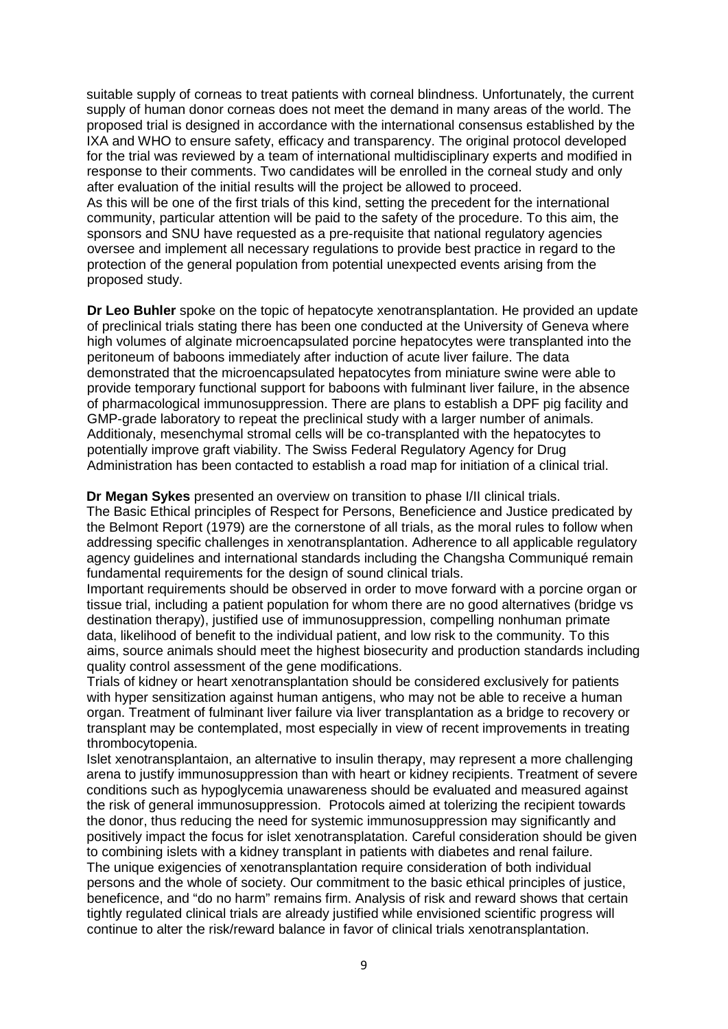suitable supply of corneas to treat patients with corneal blindness. Unfortunately, the current supply of human donor corneas does not meet the demand in many areas of the world. The proposed trial is designed in accordance with the international consensus established by the IXA and WHO to ensure safety, efficacy and transparency. The original protocol developed for the trial was reviewed by a team of international multidisciplinary experts and modified in response to their comments. Two candidates will be enrolled in the corneal study and only after evaluation of the initial results will the project be allowed to proceed. As this will be one of the first trials of this kind, setting the precedent for the international community, particular attention will be paid to the safety of the procedure. To this aim, the sponsors and SNU have requested as a pre-requisite that national regulatory agencies oversee and implement all necessary regulations to provide best practice in regard to the

protection of the general population from potential unexpected events arising from the proposed study.

**Dr Leo Buhler** spoke on the topic of hepatocyte xenotransplantation. He provided an update of preclinical trials stating there has been one conducted at the University of Geneva where high volumes of alginate microencapsulated porcine hepatocytes were transplanted into the peritoneum of baboons immediately after induction of acute liver failure. The data demonstrated that the microencapsulated hepatocytes from miniature swine were able to provide temporary functional support for baboons with fulminant liver failure, in the absence of pharmacological immunosuppression. There are plans to establish a DPF pig facility and GMP-grade laboratory to repeat the preclinical study with a larger number of animals. Additionaly, mesenchymal stromal cells will be co-transplanted with the hepatocytes to potentially improve graft viability. The Swiss Federal Regulatory Agency for Drug Administration has been contacted to establish a road map for initiation of a clinical trial.

**Dr Megan Sykes** presented an overview on transition to phase I/II clinical trials.

The Basic Ethical principles of Respect for Persons, Beneficience and Justice predicated by the Belmont Report (1979) are the cornerstone of all trials, as the moral rules to follow when addressing specific challenges in xenotransplantation. Adherence to all applicable regulatory agency guidelines and international standards including the Changsha Communiqué remain fundamental requirements for the design of sound clinical trials.

Important requirements should be observed in order to move forward with a porcine organ or tissue trial, including a patient population for whom there are no good alternatives (bridge vs destination therapy), justified use of immunosuppression, compelling nonhuman primate data, likelihood of benefit to the individual patient, and low risk to the community. To this aims, source animals should meet the highest biosecurity and production standards including quality control assessment of the gene modifications.

Trials of kidney or heart xenotransplantation should be considered exclusively for patients with hyper sensitization against human antigens, who may not be able to receive a human organ. Treatment of fulminant liver failure via liver transplantation as a bridge to recovery or transplant may be contemplated, most especially in view of recent improvements in treating thrombocytopenia.

Islet xenotransplantaion, an alternative to insulin therapy, may represent a more challenging arena to justify immunosuppression than with heart or kidney recipients. Treatment of severe conditions such as hypoglycemia unawareness should be evaluated and measured against the risk of general immunosuppression. Protocols aimed at tolerizing the recipient towards the donor, thus reducing the need for systemic immunosuppression may significantly and positively impact the focus for islet xenotransplatation. Careful consideration should be given to combining islets with a kidney transplant in patients with diabetes and renal failure. The unique exigencies of xenotransplantation require consideration of both individual persons and the whole of society. Our commitment to the basic ethical principles of justice, beneficence, and "do no harm" remains firm. Analysis of risk and reward shows that certain tightly regulated clinical trials are already justified while envisioned scientific progress will continue to alter the risk/reward balance in favor of clinical trials xenotransplantation.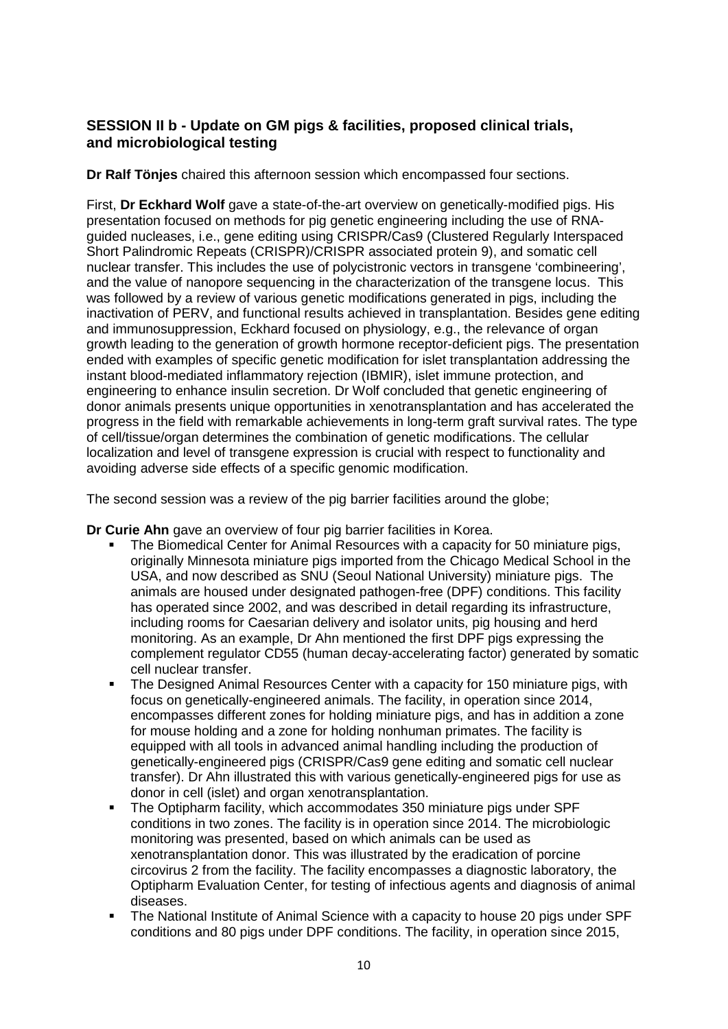# **SESSION II b - Update on GM pigs & facilities, proposed clinical trials, and microbiological testing**

**Dr Ralf Tönjes** chaired this afternoon session which encompassed four sections.

First, **Dr Eckhard Wolf** gave a state-of-the-art overview on genetically-modified pigs. His presentation focused on methods for pig genetic engineering including the use of RNAguided nucleases, i.e., gene editing using CRISPR/Cas9 (Clustered Regularly Interspaced Short Palindromic Repeats (CRISPR)/CRISPR associated protein 9), and somatic cell nuclear transfer. This includes the use of polycistronic vectors in transgene 'combineering', and the value of nanopore sequencing in the characterization of the transgene locus. This was followed by a review of various genetic modifications generated in pigs, including the inactivation of PERV, and functional results achieved in transplantation. Besides gene editing and immunosuppression, Eckhard focused on physiology, e.g., the relevance of organ growth leading to the generation of growth hormone receptor-deficient pigs. The presentation ended with examples of specific genetic modification for islet transplantation addressing the instant blood-mediated inflammatory rejection (IBMIR), islet immune protection, and engineering to enhance insulin secretion. Dr Wolf concluded that genetic engineering of donor animals presents unique opportunities in xenotransplantation and has accelerated the progress in the field with remarkable achievements in long-term graft survival rates. The type of cell/tissue/organ determines the combination of genetic modifications. The cellular localization and level of transgene expression is crucial with respect to functionality and avoiding adverse side effects of a specific genomic modification.

The second session was a review of the pig barrier facilities around the globe;

**Dr Curie Ahn** gave an overview of four pig barrier facilities in Korea.

- The Biomedical Center for Animal Resources with a capacity for 50 miniature pigs, originally Minnesota miniature pigs imported from the Chicago Medical School in the USA, and now described as SNU (Seoul National University) miniature pigs. The animals are housed under designated pathogen-free (DPF) conditions. This facility has operated since 2002, and was described in detail regarding its infrastructure, including rooms for Caesarian delivery and isolator units, pig housing and herd monitoring. As an example, Dr Ahn mentioned the first DPF pigs expressing the complement regulator CD55 (human decay-accelerating factor) generated by somatic cell nuclear transfer.
- The Designed Animal Resources Center with a capacity for 150 miniature pigs, with focus on genetically-engineered animals. The facility, in operation since 2014, encompasses different zones for holding miniature pigs, and has in addition a zone for mouse holding and a zone for holding nonhuman primates. The facility is equipped with all tools in advanced animal handling including the production of genetically-engineered pigs (CRISPR/Cas9 gene editing and somatic cell nuclear transfer). Dr Ahn illustrated this with various genetically-engineered pigs for use as donor in cell (islet) and organ xenotransplantation.
- The Optipharm facility, which accommodates 350 miniature pigs under SPF conditions in two zones. The facility is in operation since 2014. The microbiologic monitoring was presented, based on which animals can be used as xenotransplantation donor. This was illustrated by the eradication of porcine circovirus 2 from the facility. The facility encompasses a diagnostic laboratory, the Optipharm Evaluation Center, for testing of infectious agents and diagnosis of animal diseases.
- The National Institute of Animal Science with a capacity to house 20 pigs under SPF conditions and 80 pigs under DPF conditions. The facility, in operation since 2015,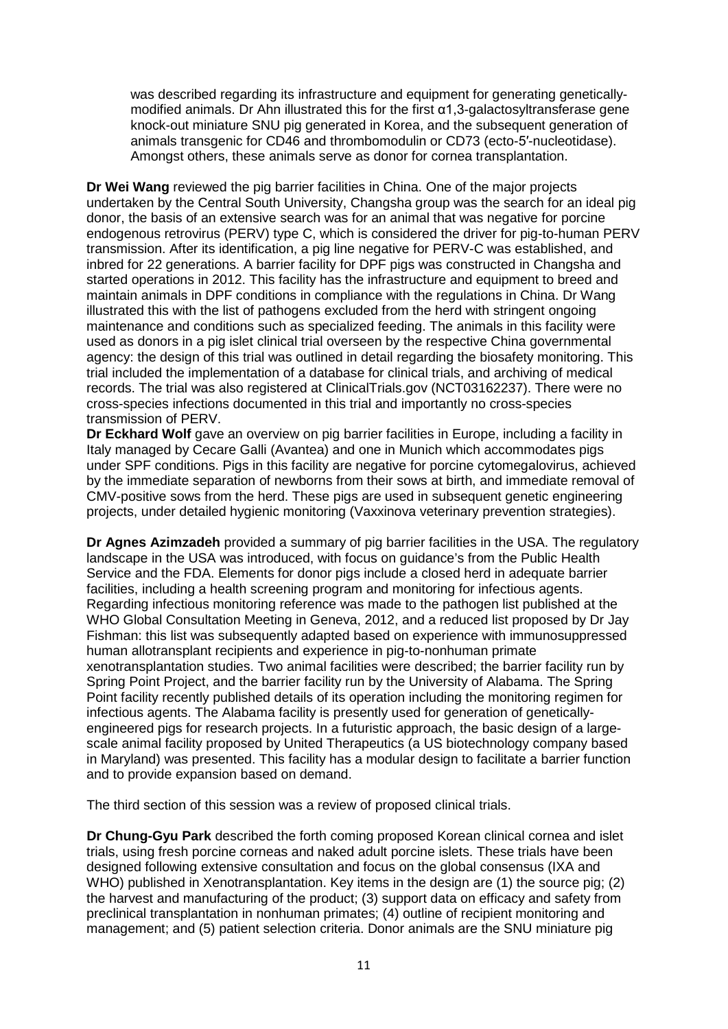was described regarding its infrastructure and equipment for generating geneticallymodified animals. Dr Ahn illustrated this for the first α1,3-galactosyltransferase gene knock-out miniature SNU pig generated in Korea, and the subsequent generation of animals transgenic for CD46 and thrombomodulin or CD73 (ecto-5′-nucleotidase). Amongst others, these animals serve as donor for cornea transplantation.

**Dr Wei Wang** reviewed the pig barrier facilities in China. One of the major projects undertaken by the Central South University, Changsha group was the search for an ideal pig donor, the basis of an extensive search was for an animal that was negative for porcine endogenous retrovirus (PERV) type C, which is considered the driver for pig-to-human PERV transmission. After its identification, a pig line negative for PERV-C was established, and inbred for 22 generations. A barrier facility for DPF pigs was constructed in Changsha and started operations in 2012. This facility has the infrastructure and equipment to breed and maintain animals in DPF conditions in compliance with the regulations in China. Dr Wang illustrated this with the list of pathogens excluded from the herd with stringent ongoing maintenance and conditions such as specialized feeding. The animals in this facility were used as donors in a pig islet clinical trial overseen by the respective China governmental agency: the design of this trial was outlined in detail regarding the biosafety monitoring. This trial included the implementation of a database for clinical trials, and archiving of medical records. The trial was also registered at ClinicalTrials.gov (NCT03162237). There were no cross-species infections documented in this trial and importantly no cross-species transmission of PERV.

**Dr Eckhard Wolf** gave an overview on pig barrier facilities in Europe, including a facility in Italy managed by Cecare Galli (Avantea) and one in Munich which accommodates pigs under SPF conditions. Pigs in this facility are negative for porcine cytomegalovirus, achieved by the immediate separation of newborns from their sows at birth, and immediate removal of CMV-positive sows from the herd. These pigs are used in subsequent genetic engineering projects, under detailed hygienic monitoring (Vaxxinova veterinary prevention strategies).

**Dr Agnes Azimzadeh** provided a summary of pig barrier facilities in the USA. The regulatory landscape in the USA was introduced, with focus on guidance's from the Public Health Service and the FDA. Elements for donor pigs include a closed herd in adequate barrier facilities, including a health screening program and monitoring for infectious agents. Regarding infectious monitoring reference was made to the pathogen list published at the WHO Global Consultation Meeting in Geneva, 2012, and a reduced list proposed by Dr Jay Fishman: this list was subsequently adapted based on experience with immunosuppressed human allotransplant recipients and experience in pig-to-nonhuman primate xenotransplantation studies. Two animal facilities were described; the barrier facility run by Spring Point Project, and the barrier facility run by the University of Alabama. The Spring Point facility recently published details of its operation including the monitoring regimen for infectious agents. The Alabama facility is presently used for generation of geneticallyengineered pigs for research projects. In a futuristic approach, the basic design of a largescale animal facility proposed by United Therapeutics (a US biotechnology company based in Maryland) was presented. This facility has a modular design to facilitate a barrier function and to provide expansion based on demand.

The third section of this session was a review of proposed clinical trials.

**Dr Chung-Gyu Park** described the forth coming proposed Korean clinical cornea and islet trials, using fresh porcine corneas and naked adult porcine islets. These trials have been designed following extensive consultation and focus on the global consensus (IXA and WHO) published in Xenotransplantation. Key items in the design are (1) the source pig; (2) the harvest and manufacturing of the product; (3) support data on efficacy and safety from preclinical transplantation in nonhuman primates; (4) outline of recipient monitoring and management; and (5) patient selection criteria. Donor animals are the SNU miniature pig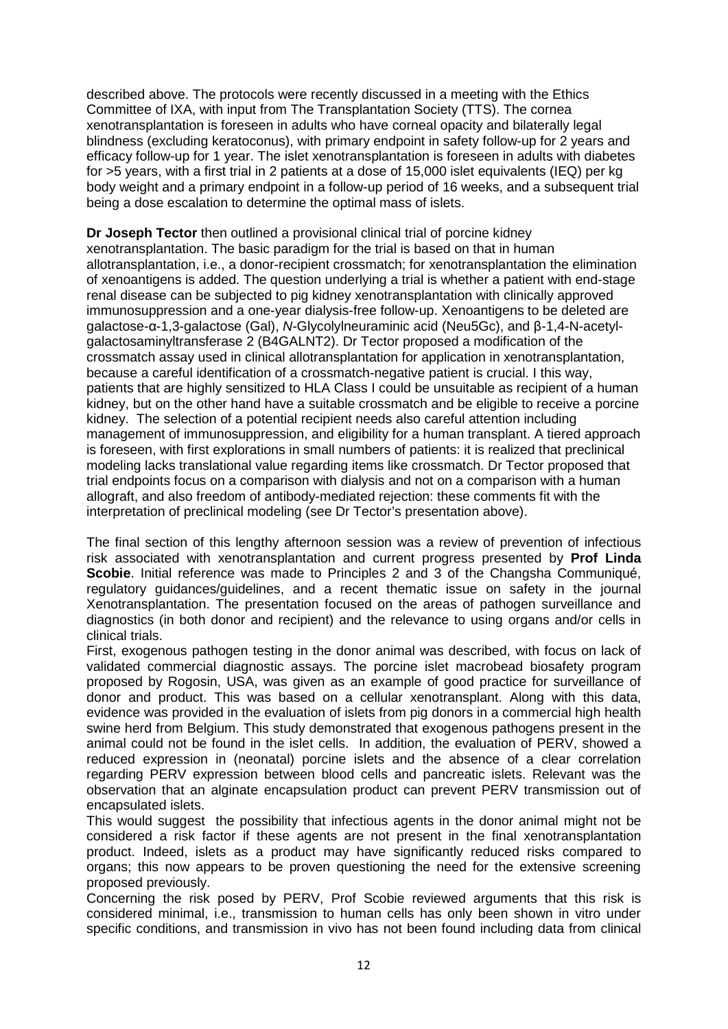described above. The protocols were recently discussed in a meeting with the Ethics Committee of IXA, with input from The Transplantation Society (TTS). The cornea xenotransplantation is foreseen in adults who have corneal opacity and bilaterally legal blindness (excluding keratoconus), with primary endpoint in safety follow-up for 2 years and efficacy follow-up for 1 year. The islet xenotransplantation is foreseen in adults with diabetes for >5 years, with a first trial in 2 patients at a dose of 15,000 islet equivalents (IEQ) per kg body weight and a primary endpoint in a follow-up period of 16 weeks, and a subsequent trial being a dose escalation to determine the optimal mass of islets.

**Dr Joseph Tector** then outlined a provisional clinical trial of porcine kidney xenotransplantation. The basic paradigm for the trial is based on that in human allotransplantation, i.e., a donor-recipient crossmatch; for xenotransplantation the elimination of xenoantigens is added. The question underlying a trial is whether a patient with end-stage renal disease can be subjected to pig kidney xenotransplantation with clinically approved immunosuppression and a one-year dialysis-free follow-up. Xenoantigens to be deleted are galactose-α-1,3-galactose (Gal), *N*-Glycolylneuraminic acid (Neu5Gc), and β-1,4-N-acetylgalactosaminyltransferase 2 (B4GALNT2). Dr Tector proposed a modification of the crossmatch assay used in clinical allotransplantation for application in xenotransplantation, because a careful identification of a crossmatch-negative patient is crucial. I this way, patients that are highly sensitized to HLA Class I could be unsuitable as recipient of a human kidney, but on the other hand have a suitable crossmatch and be eligible to receive a porcine kidney. The selection of a potential recipient needs also careful attention including management of immunosuppression, and eligibility for a human transplant. A tiered approach is foreseen, with first explorations in small numbers of patients: it is realized that preclinical modeling lacks translational value regarding items like crossmatch. Dr Tector proposed that trial endpoints focus on a comparison with dialysis and not on a comparison with a human allograft, and also freedom of antibody-mediated rejection: these comments fit with the interpretation of preclinical modeling (see Dr Tector's presentation above).

The final section of this lengthy afternoon session was a review of prevention of infectious risk associated with xenotransplantation and current progress presented by **Prof Linda Scobie**. Initial reference was made to Principles 2 and 3 of the Changsha Communiqué, regulatory guidances/guidelines, and a recent thematic issue on safety in the journal Xenotransplantation. The presentation focused on the areas of pathogen surveillance and diagnostics (in both donor and recipient) and the relevance to using organs and/or cells in clinical trials.

First, exogenous pathogen testing in the donor animal was described, with focus on lack of validated commercial diagnostic assays. The porcine islet macrobead biosafety program proposed by Rogosin, USA, was given as an example of good practice for surveillance of donor and product. This was based on a cellular xenotransplant. Along with this data, evidence was provided in the evaluation of islets from pig donors in a commercial high health swine herd from Belgium. This study demonstrated that exogenous pathogens present in the animal could not be found in the islet cells. In addition, the evaluation of PERV, showed a reduced expression in (neonatal) porcine islets and the absence of a clear correlation regarding PERV expression between blood cells and pancreatic islets. Relevant was the observation that an alginate encapsulation product can prevent PERV transmission out of encapsulated islets.

This would suggest the possibility that infectious agents in the donor animal might not be considered a risk factor if these agents are not present in the final xenotransplantation product. Indeed, islets as a product may have significantly reduced risks compared to organs; this now appears to be proven questioning the need for the extensive screening proposed previously.

Concerning the risk posed by PERV, Prof Scobie reviewed arguments that this risk is considered minimal, i.e., transmission to human cells has only been shown in vitro under specific conditions, and transmission in vivo has not been found including data from clinical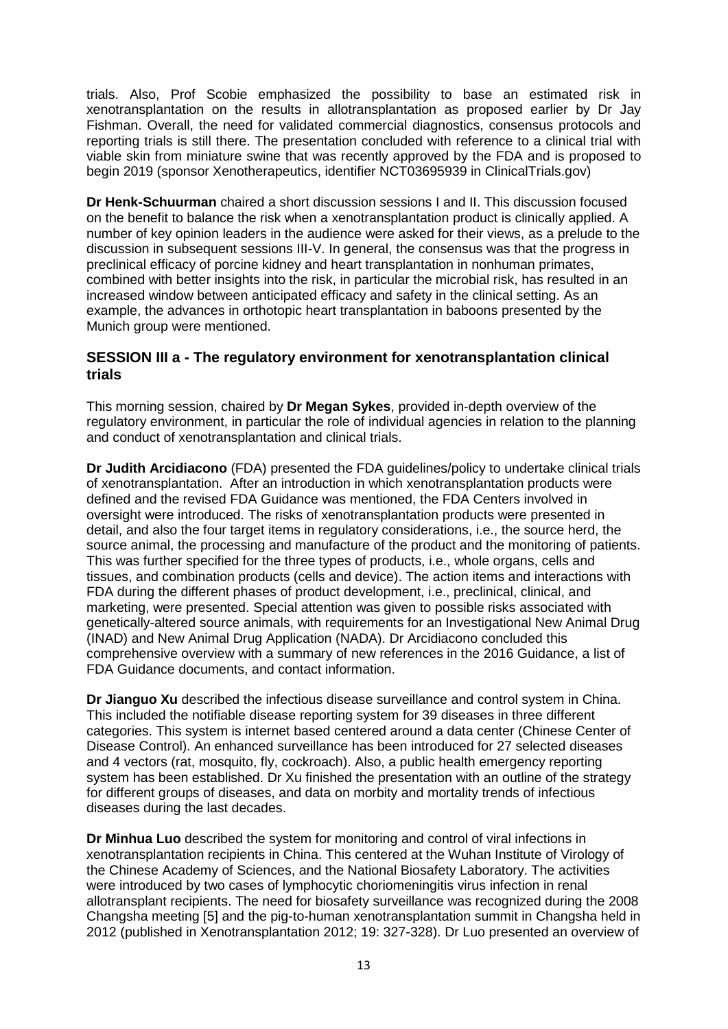trials. Also, Prof Scobie emphasized the possibility to base an estimated risk in xenotransplantation on the results in allotransplantation as proposed earlier by Dr Jay Fishman. Overall, the need for validated commercial diagnostics, consensus protocols and reporting trials is still there. The presentation concluded with reference to a clinical trial with viable skin from miniature swine that was recently approved by the FDA and is proposed to begin 2019 (sponsor Xenotherapeutics, identifier NCT03695939 in ClinicalTrials.gov)

**Dr Henk-Schuurman** chaired a short discussion sessions I and II. This discussion focused on the benefit to balance the risk when a xenotransplantation product is clinically applied. A number of key opinion leaders in the audience were asked for their views, as a prelude to the discussion in subsequent sessions III-V. In general, the consensus was that the progress in preclinical efficacy of porcine kidney and heart transplantation in nonhuman primates, combined with better insights into the risk, in particular the microbial risk, has resulted in an increased window between anticipated efficacy and safety in the clinical setting. As an example, the advances in orthotopic heart transplantation in baboons presented by the Munich group were mentioned.

## **SESSION III a - The regulatory environment for xenotransplantation clinical trials**

This morning session, chaired by **Dr Megan Sykes**, provided in-depth overview of the regulatory environment, in particular the role of individual agencies in relation to the planning and conduct of xenotransplantation and clinical trials.

**Dr Judith Arcidiacono** (FDA) presented the FDA guidelines/policy to undertake clinical trials of xenotransplantation. After an introduction in which xenotransplantation products were defined and the revised FDA Guidance was mentioned, the FDA Centers involved in oversight were introduced. The risks of xenotransplantation products were presented in detail, and also the four target items in regulatory considerations, i.e., the source herd, the source animal, the processing and manufacture of the product and the monitoring of patients. This was further specified for the three types of products, i.e., whole organs, cells and tissues, and combination products (cells and device). The action items and interactions with FDA during the different phases of product development, i.e., preclinical, clinical, and marketing, were presented. Special attention was given to possible risks associated with genetically-altered source animals, with requirements for an Investigational New Animal Drug (INAD) and New Animal Drug Application (NADA). Dr Arcidiacono concluded this comprehensive overview with a summary of new references in the 2016 Guidance, a list of FDA Guidance documents, and contact information.

**Dr Jianguo Xu** described the infectious disease surveillance and control system in China. This included the notifiable disease reporting system for 39 diseases in three different categories. This system is internet based centered around a data center (Chinese Center of Disease Control). An enhanced surveillance has been introduced for 27 selected diseases and 4 vectors (rat, mosquito, fly, cockroach). Also, a public health emergency reporting system has been established. Dr Xu finished the presentation with an outline of the strategy for different groups of diseases, and data on morbity and mortality trends of infectious diseases during the last decades.

**Dr Minhua Luo** described the system for monitoring and control of viral infections in xenotransplantation recipients in China. This centered at the Wuhan Institute of Virology of the Chinese Academy of Sciences, and the National Biosafety Laboratory. The activities were introduced by two cases of lymphocytic choriomeningitis virus infection in renal allotransplant recipients. The need for biosafety surveillance was recognized during the 2008 Changsha meeting [5] and the pig-to-human xenotransplantation summit in Changsha held in 2012 (published in Xenotransplantation 2012; 19: 327-328). Dr Luo presented an overview of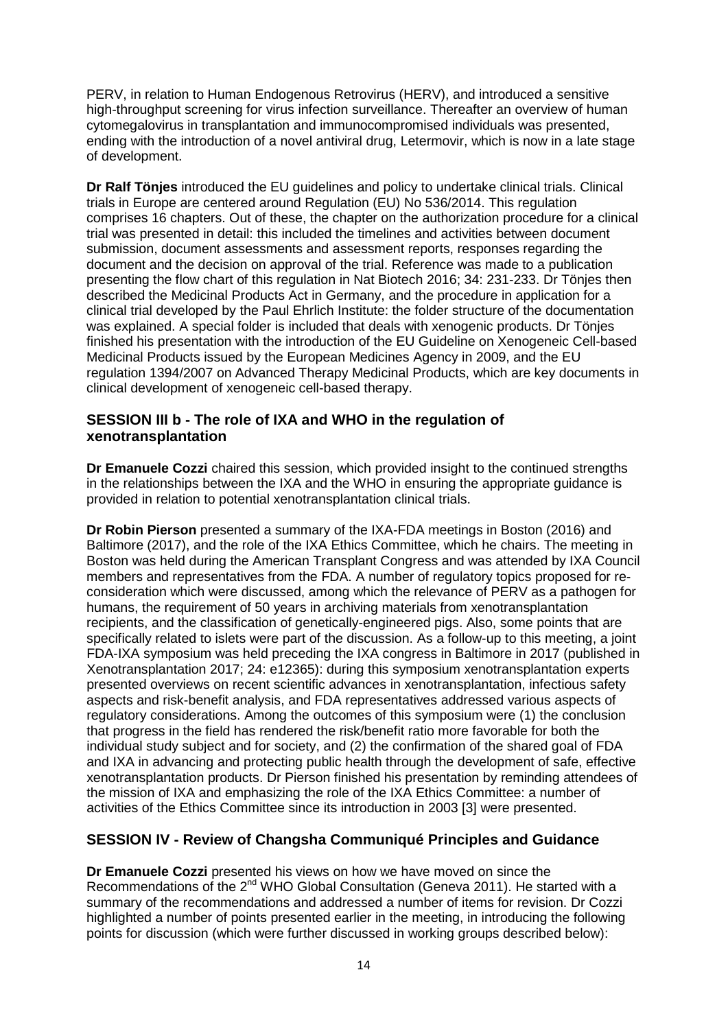PERV, in relation to Human Endogenous Retrovirus (HERV), and introduced a sensitive high-throughput screening for virus infection surveillance. Thereafter an overview of human cytomegalovirus in transplantation and immunocompromised individuals was presented, ending with the introduction of a novel antiviral drug, Letermovir, which is now in a late stage of development.

**Dr Ralf Tönjes** introduced the EU guidelines and policy to undertake clinical trials. Clinical trials in Europe are centered around Regulation (EU) No 536/2014. This regulation comprises 16 chapters. Out of these, the chapter on the authorization procedure for a clinical trial was presented in detail: this included the timelines and activities between document submission, document assessments and assessment reports, responses regarding the document and the decision on approval of the trial. Reference was made to a publication presenting the flow chart of this regulation in Nat Biotech 2016; 34: 231-233. Dr Tönjes then described the Medicinal Products Act in Germany, and the procedure in application for a clinical trial developed by the Paul Ehrlich Institute: the folder structure of the documentation was explained. A special folder is included that deals with xenogenic products. Dr Tönjes finished his presentation with the introduction of the EU Guideline on Xenogeneic Cell-based Medicinal Products issued by the European Medicines Agency in 2009, and the EU regulation 1394/2007 on Advanced Therapy Medicinal Products, which are key documents in clinical development of xenogeneic cell-based therapy.

# **SESSION III b - The role of IXA and WHO in the regulation of xenotransplantation**

**Dr Emanuele Cozzi** chaired this session, which provided insight to the continued strengths in the relationships between the IXA and the WHO in ensuring the appropriate guidance is provided in relation to potential xenotransplantation clinical trials.

**Dr Robin Pierson** presented a summary of the IXA-FDA meetings in Boston (2016) and Baltimore (2017), and the role of the IXA Ethics Committee, which he chairs. The meeting in Boston was held during the American Transplant Congress and was attended by IXA Council members and representatives from the FDA. A number of regulatory topics proposed for reconsideration which were discussed, among which the relevance of PERV as a pathogen for humans, the requirement of 50 years in archiving materials from xenotransplantation recipients, and the classification of genetically-engineered pigs. Also, some points that are specifically related to islets were part of the discussion. As a follow-up to this meeting, a joint FDA-IXA symposium was held preceding the IXA congress in Baltimore in 2017 (published in Xenotransplantation 2017; 24: e12365): during this symposium xenotransplantation experts presented overviews on recent scientific advances in xenotransplantation, infectious safety aspects and risk-benefit analysis, and FDA representatives addressed various aspects of regulatory considerations. Among the outcomes of this symposium were (1) the conclusion that progress in the field has rendered the risk/benefit ratio more favorable for both the individual study subject and for society, and (2) the confirmation of the shared goal of FDA and IXA in advancing and protecting public health through the development of safe, effective xenotransplantation products. Dr Pierson finished his presentation by reminding attendees of the mission of IXA and emphasizing the role of the IXA Ethics Committee: a number of activities of the Ethics Committee since its introduction in 2003 [3] were presented.

# **SESSION IV - Review of Changsha Communiqué Principles and Guidance**

**Dr Emanuele Cozzi** presented his views on how we have moved on since the Recommendations of the 2<sup>nd</sup> WHO Global Consultation (Geneva 2011). He started with a summary of the recommendations and addressed a number of items for revision. Dr Cozzi highlighted a number of points presented earlier in the meeting, in introducing the following points for discussion (which were further discussed in working groups described below):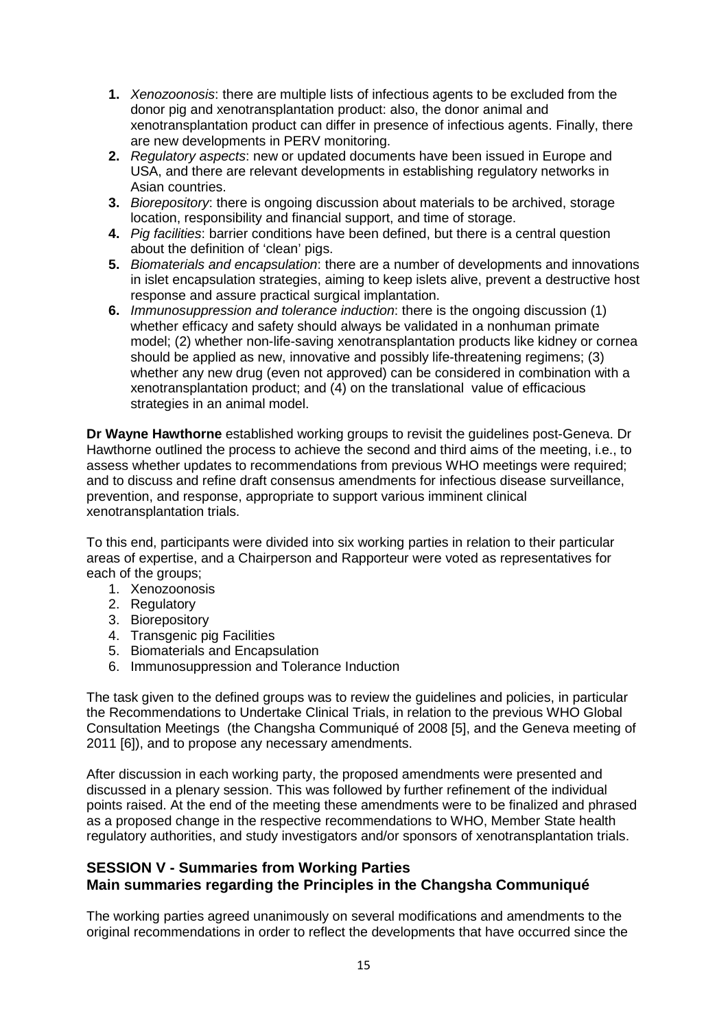- **1.** *Xenozoonosis*: there are multiple lists of infectious agents to be excluded from the donor pig and xenotransplantation product: also, the donor animal and xenotransplantation product can differ in presence of infectious agents. Finally, there are new developments in PERV monitoring.
- **2.** *Regulatory aspects*: new or updated documents have been issued in Europe and USA, and there are relevant developments in establishing regulatory networks in Asian countries.
- **3.** *Biorepository*: there is ongoing discussion about materials to be archived, storage location, responsibility and financial support, and time of storage.
- **4.** *Pig facilities*: barrier conditions have been defined, but there is a central question about the definition of 'clean' pigs.
- **5.** *Biomaterials and encapsulation*: there are a number of developments and innovations in islet encapsulation strategies, aiming to keep islets alive, prevent a destructive host response and assure practical surgical implantation.
- **6.** *Immunosuppression and tolerance induction*: there is the ongoing discussion (1) whether efficacy and safety should always be validated in a nonhuman primate model; (2) whether non-life-saving xenotransplantation products like kidney or cornea should be applied as new, innovative and possibly life-threatening regimens; (3) whether any new drug (even not approved) can be considered in combination with a xenotransplantation product; and (4) on the translational value of efficacious strategies in an animal model.

**Dr Wayne Hawthorne** established working groups to revisit the guidelines post-Geneva. Dr Hawthorne outlined the process to achieve the second and third aims of the meeting, i.e., to assess whether updates to recommendations from previous WHO meetings were required; and to discuss and refine draft consensus amendments for infectious disease surveillance, prevention, and response, appropriate to support various imminent clinical xenotransplantation trials.

To this end, participants were divided into six working parties in relation to their particular areas of expertise, and a Chairperson and Rapporteur were voted as representatives for each of the groups;

- 1. Xenozoonosis
- 2. Regulatory
- 3. Biorepository
- 4. Transgenic pig Facilities
- 5. Biomaterials and Encapsulation
- 6. Immunosuppression and Tolerance Induction

The task given to the defined groups was to review the guidelines and policies, in particular the Recommendations to Undertake Clinical Trials, in relation to the previous WHO Global Consultation Meetings (the Changsha Communiqué of 2008 [5], and the Geneva meeting of 2011 [6]), and to propose any necessary amendments.

After discussion in each working party, the proposed amendments were presented and discussed in a plenary session. This was followed by further refinement of the individual points raised. At the end of the meeting these amendments were to be finalized and phrased as a proposed change in the respective recommendations to WHO, Member State health regulatory authorities, and study investigators and/or sponsors of xenotransplantation trials.

# **SESSION V - Summaries from Working Parties Main summaries regarding the Principles in the Changsha Communiqué**

The working parties agreed unanimously on several modifications and amendments to the original recommendations in order to reflect the developments that have occurred since the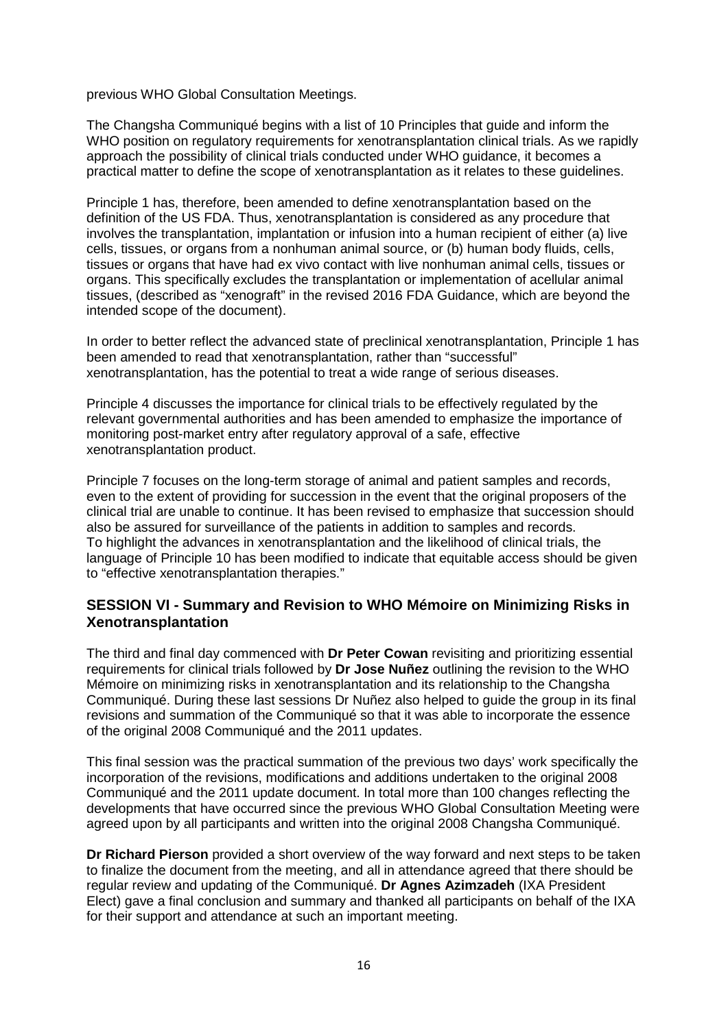previous WHO Global Consultation Meetings.

The Changsha Communiqué begins with a list of 10 Principles that guide and inform the WHO position on regulatory requirements for xenotransplantation clinical trials. As we rapidly approach the possibility of clinical trials conducted under WHO guidance, it becomes a practical matter to define the scope of xenotransplantation as it relates to these guidelines.

Principle 1 has, therefore, been amended to define xenotransplantation based on the definition of the US FDA. Thus, xenotransplantation is considered as any procedure that involves the transplantation, implantation or infusion into a human recipient of either (a) live cells, tissues, or organs from a nonhuman animal source, or (b) human body fluids, cells, tissues or organs that have had ex vivo contact with live nonhuman animal cells, tissues or organs. This specifically excludes the transplantation or implementation of acellular animal tissues, (described as "xenograft" in the revised 2016 FDA Guidance, which are beyond the intended scope of the document).

In order to better reflect the advanced state of preclinical xenotransplantation, Principle 1 has been amended to read that xenotransplantation, rather than "successful" xenotransplantation, has the potential to treat a wide range of serious diseases.

Principle 4 discusses the importance for clinical trials to be effectively regulated by the relevant governmental authorities and has been amended to emphasize the importance of monitoring post-market entry after regulatory approval of a safe, effective xenotransplantation product.

Principle 7 focuses on the long-term storage of animal and patient samples and records, even to the extent of providing for succession in the event that the original proposers of the clinical trial are unable to continue. It has been revised to emphasize that succession should also be assured for surveillance of the patients in addition to samples and records. To highlight the advances in xenotransplantation and the likelihood of clinical trials, the language of Principle 10 has been modified to indicate that equitable access should be given to "effective xenotransplantation therapies."

# **SESSION VI - Summary and Revision to WHO Mémoire on Minimizing Risks in Xenotransplantation**

The third and final day commenced with **Dr Peter Cowan** revisiting and prioritizing essential requirements for clinical trials followed by **Dr Jose Nuñez** outlining the revision to the WHO Mémoire on minimizing risks in xenotransplantation and its relationship to the Changsha Communiqué. During these last sessions Dr Nuñez also helped to guide the group in its final revisions and summation of the Communiqué so that it was able to incorporate the essence of the original 2008 Communiqué and the 2011 updates.

This final session was the practical summation of the previous two days' work specifically the incorporation of the revisions, modifications and additions undertaken to the original 2008 Communiqué and the 2011 update document. In total more than 100 changes reflecting the developments that have occurred since the previous WHO Global Consultation Meeting were agreed upon by all participants and written into the original 2008 Changsha Communiqué.

**Dr Richard Pierson** provided a short overview of the way forward and next steps to be taken to finalize the document from the meeting, and all in attendance agreed that there should be regular review and updating of the Communiqué. **Dr Agnes Azimzadeh** (IXA President Elect) gave a final conclusion and summary and thanked all participants on behalf of the IXA for their support and attendance at such an important meeting.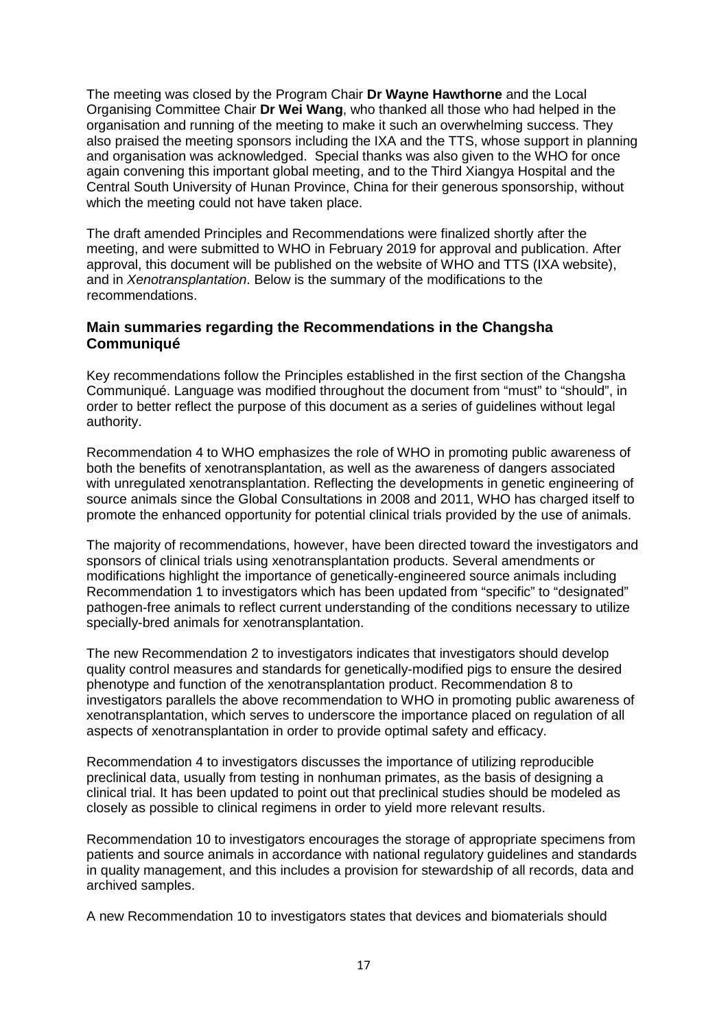The meeting was closed by the Program Chair **Dr Wayne Hawthorne** and the Local Organising Committee Chair **Dr Wei Wang**, who thanked all those who had helped in the organisation and running of the meeting to make it such an overwhelming success. They also praised the meeting sponsors including the IXA and the TTS, whose support in planning and organisation was acknowledged. Special thanks was also given to the WHO for once again convening this important global meeting, and to the Third Xiangya Hospital and the Central South University of Hunan Province, China for their generous sponsorship, without which the meeting could not have taken place.

The draft amended Principles and Recommendations were finalized shortly after the meeting, and were submitted to WHO in February 2019 for approval and publication. After approval, this document will be published on the website of WHO and TTS (IXA website), and in *Xenotransplantation*. Below is the summary of the modifications to the recommendations.

# **Main summaries regarding the Recommendations in the Changsha Communiqué**

Key recommendations follow the Principles established in the first section of the Changsha Communiqué. Language was modified throughout the document from "must" to "should", in order to better reflect the purpose of this document as a series of guidelines without legal authority.

Recommendation 4 to WHO emphasizes the role of WHO in promoting public awareness of both the benefits of xenotransplantation, as well as the awareness of dangers associated with unregulated xenotransplantation. Reflecting the developments in genetic engineering of source animals since the Global Consultations in 2008 and 2011, WHO has charged itself to promote the enhanced opportunity for potential clinical trials provided by the use of animals.

The majority of recommendations, however, have been directed toward the investigators and sponsors of clinical trials using xenotransplantation products. Several amendments or modifications highlight the importance of genetically-engineered source animals including Recommendation 1 to investigators which has been updated from "specific" to "designated" pathogen-free animals to reflect current understanding of the conditions necessary to utilize specially-bred animals for xenotransplantation.

The new Recommendation 2 to investigators indicates that investigators should develop quality control measures and standards for genetically-modified pigs to ensure the desired phenotype and function of the xenotransplantation product. Recommendation 8 to investigators parallels the above recommendation to WHO in promoting public awareness of xenotransplantation, which serves to underscore the importance placed on regulation of all aspects of xenotransplantation in order to provide optimal safety and efficacy.

Recommendation 4 to investigators discusses the importance of utilizing reproducible preclinical data, usually from testing in nonhuman primates, as the basis of designing a clinical trial. It has been updated to point out that preclinical studies should be modeled as closely as possible to clinical regimens in order to yield more relevant results.

Recommendation 10 to investigators encourages the storage of appropriate specimens from patients and source animals in accordance with national regulatory guidelines and standards in quality management, and this includes a provision for stewardship of all records, data and archived samples.

A new Recommendation 10 to investigators states that devices and biomaterials should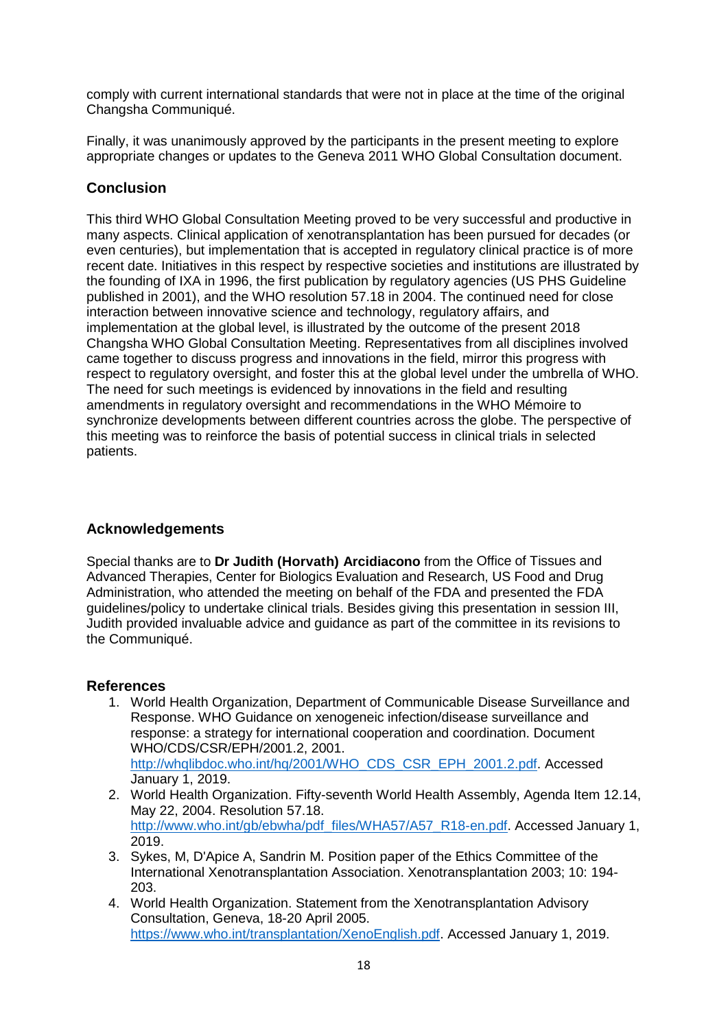comply with current international standards that were not in place at the time of the original Changsha Communiqué.

Finally, it was unanimously approved by the participants in the present meeting to explore appropriate changes or updates to the Geneva 2011 WHO Global Consultation document.

# **Conclusion**

This third WHO Global Consultation Meeting proved to be very successful and productive in many aspects. Clinical application of xenotransplantation has been pursued for decades (or even centuries), but implementation that is accepted in regulatory clinical practice is of more recent date. Initiatives in this respect by respective societies and institutions are illustrated by the founding of IXA in 1996, the first publication by regulatory agencies (US PHS Guideline published in 2001), and the WHO resolution 57.18 in 2004. The continued need for close interaction between innovative science and technology, regulatory affairs, and implementation at the global level, is illustrated by the outcome of the present 2018 Changsha WHO Global Consultation Meeting. Representatives from all disciplines involved came together to discuss progress and innovations in the field, mirror this progress with respect to regulatory oversight, and foster this at the global level under the umbrella of WHO. The need for such meetings is evidenced by innovations in the field and resulting amendments in regulatory oversight and recommendations in the WHO Mémoire to synchronize developments between different countries across the globe. The perspective of this meeting was to reinforce the basis of potential success in clinical trials in selected patients.

# **Acknowledgements**

Special thanks are to **Dr Judith (Horvath) Arcidiacono** from the Office of Tissues and Advanced Therapies, Center for Biologics Evaluation and Research, US Food and Drug Administration, who attended the meeting on behalf of the FDA and presented the FDA guidelines/policy to undertake clinical trials. Besides giving this presentation in session III, Judith provided invaluable advice and guidance as part of the committee in its revisions to the Communiqué.

# **References**

- 1. World Health Organization, Department of Communicable Disease Surveillance and Response. WHO Guidance on xenogeneic infection/disease surveillance and response: a strategy for international cooperation and coordination. Document WHO/CDS/CSR/EPH/2001.2, 2001. [http://whqlibdoc.who.int/hq/2001/WHO\\_CDS\\_CSR\\_EPH\\_2001.2.pdf.](http://whqlibdoc.who.int/hq/2001/WHO_CDS_CSR_EPH_2001.2.pdf) Accessed January 1, 2019.
- 2. World Health Organization. Fifty-seventh World Health Assembly, Agenda Item 12.14, May 22, 2004. Resolution 57.18. [http://www.who.int/gb/ebwha/pdf\\_files/WHA57/A57\\_R18-en.pdf.](http://www.who.int/gb/ebwha/pdf_files/WHA57/A57_R18-en.pdf) Accessed January 1, 2019.
- 3. Sykes, M, D'Apice A, Sandrin M. Position paper of the Ethics Committee of the International Xenotransplantation Association. Xenotransplantation 2003; 10: 194- 203.
- 4. World Health Organization. Statement from the Xenotransplantation Advisory Consultation, Geneva, 18-20 April 2005. [https://www.who.int/transplantation/XenoEnglish.pdf.](https://www.who.int/transplantation/XenoEnglish.pdf) Accessed January 1, 2019.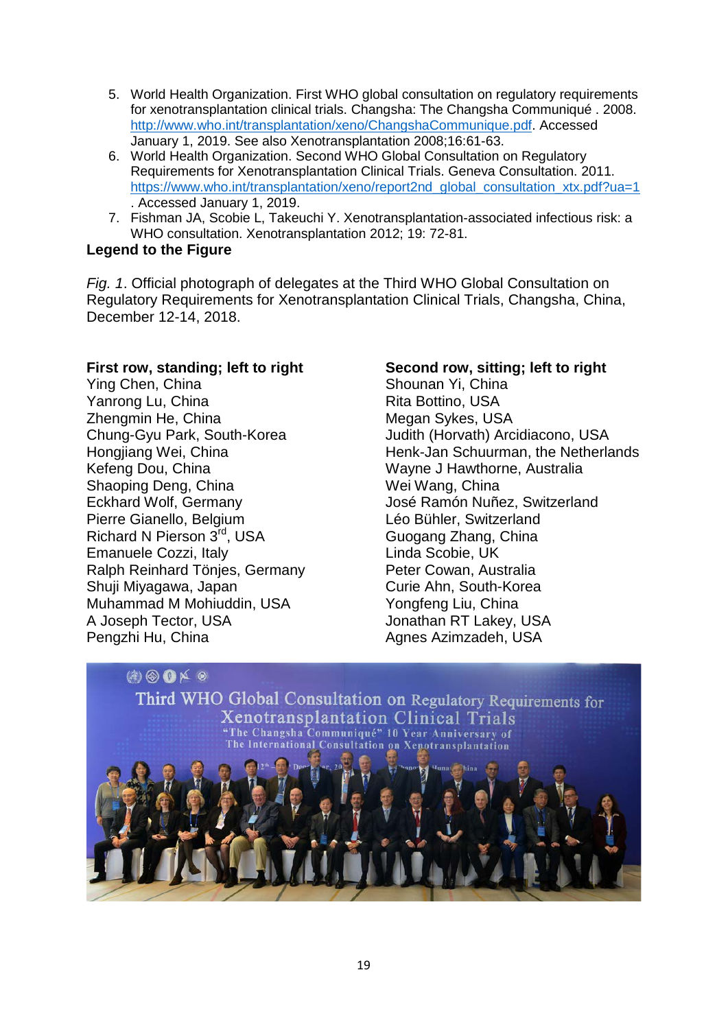- 5. World Health Organization. First WHO global consultation on regulatory requirements for xenotransplantation clinical trials. Changsha: The Changsha Communiqué . 2008. [http://www.who.int/transplantation/xeno/ChangshaCommunique.pdf.](http://www.who.int/transplantation/xeno/ChangshaCommunique.pdf) Accessed January 1, 2019. See also Xenotransplantation 2008;16:61-63.
- 6. World Health Organization. Second WHO Global Consultation on Regulatory Requirements for Xenotransplantation Clinical Trials. Geneva Consultation. 2011. [https://www.who.int/transplantation/xeno/report2nd\\_global\\_consultation\\_xtx.pdf?ua=1](https://www.who.int/transplantation/xeno/report2nd_global_consultation_xtx.pdf?ua=1) . Accessed January 1, 2019.
- 7. Fishman JA, Scobie L, Takeuchi Y. Xenotransplantation-associated infectious risk: a WHO consultation. Xenotransplantation 2012; 19: 72-81.

# **Legend to the Figure**

*Fig. 1*. Official photograph of delegates at the Third WHO Global Consultation on Regulatory Requirements for Xenotransplantation Clinical Trials, Changsha, China, December 12-14, 2018.

# **First row, standing; left to right**

Ying Chen, China Yanrong Lu, China Zhengmin He, China Chung-Gyu Park, South-Korea Hongjiang Wei, China Kefeng Dou, China Shaoping Deng, China Eckhard Wolf, Germany Pierre Gianello, Belgium Richard N Pierson 3rd, USA Emanuele Cozzi, Italy Ralph Reinhard Tönjes, Germany Shuji Miyagawa, Japan Muhammad M Mohiuddin, USA A Joseph Tector, USA Pengzhi Hu, China

# **Second row, sitting; left to right**

Shounan Yi, China Rita Bottino, USA Megan Sykes, USA Judith (Horvath) Arcidiacono, USA Henk-Jan Schuurman, the Netherlands Wayne J Hawthorne, Australia Wei Wang, China José Ramón Nuñez, Switzerland Léo Bühler, Switzerland Guogang Zhang, China Linda Scobie, UK Peter Cowan, Australia Curie Ahn, South-Korea Yongfeng Liu, China Jonathan RT Lakey, USA Agnes Azimzadeh, USA

# $(3)$   $\circledcirc$   $\circledcirc$   $\times$   $\circledcirc$

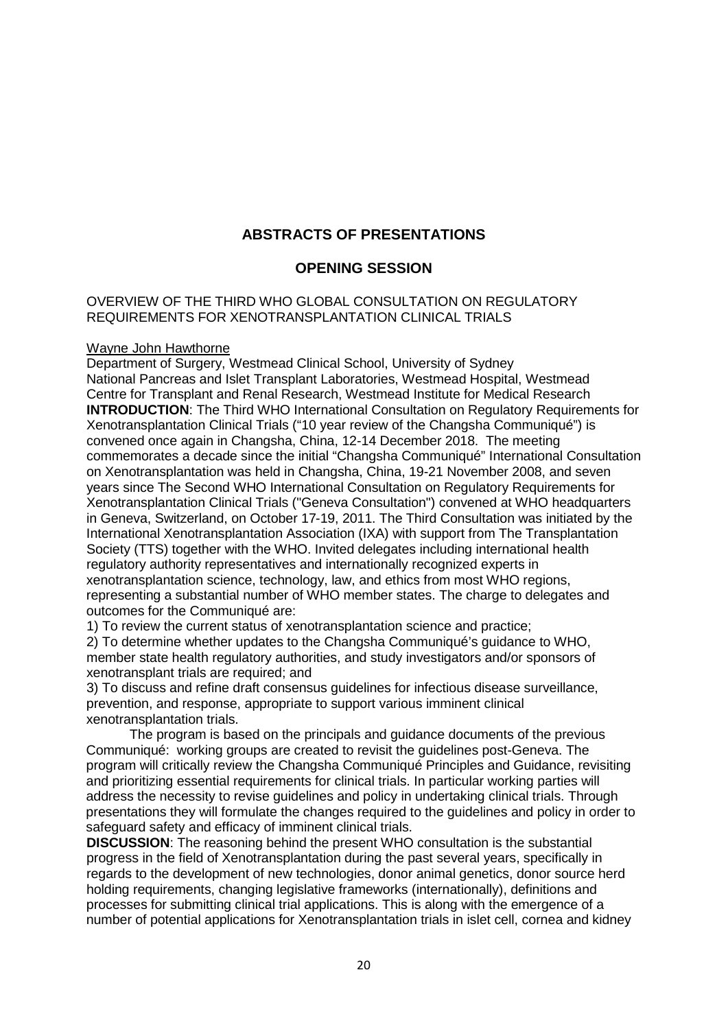# **ABSTRACTS OF PRESENTATIONS**

### **OPENING SESSION**

#### OVERVIEW OF THE THIRD WHO GLOBAL CONSULTATION ON REGULATORY REQUIREMENTS FOR XENOTRANSPLANTATION CLINICAL TRIALS

#### Wayne John Hawthorne

Department of Surgery, Westmead Clinical School, University of Sydney National Pancreas and Islet Transplant Laboratories, Westmead Hospital, Westmead Centre for Transplant and Renal Research, Westmead Institute for Medical Research **INTRODUCTION**: The Third WHO International Consultation on Regulatory Requirements for Xenotransplantation Clinical Trials ("10 year review of the Changsha Communiqué") is convened once again in Changsha, China, 12-14 December 2018. The meeting commemorates a decade since the initial "Changsha Communiqué" International Consultation on Xenotransplantation was held in Changsha, China, 19-21 November 2008, and seven years since The Second WHO International Consultation on Regulatory Requirements for Xenotransplantation Clinical Trials ("Geneva Consultation") convened at WHO headquarters in Geneva, Switzerland, on October 17-19, 2011. The Third Consultation was initiated by the International Xenotransplantation Association (IXA) with support from The Transplantation Society (TTS) together with the WHO. Invited delegates including international health regulatory authority representatives and internationally recognized experts in xenotransplantation science, technology, law, and ethics from most WHO regions, representing a substantial number of WHO member states. The charge to delegates and outcomes for the Communiqué are:

1) To review the current status of xenotransplantation science and practice;

2) To determine whether updates to the Changsha Communiqué's guidance to WHO, member state health regulatory authorities, and study investigators and/or sponsors of xenotransplant trials are required; and

3) To discuss and refine draft consensus guidelines for infectious disease surveillance, prevention, and response, appropriate to support various imminent clinical xenotransplantation trials.

The program is based on the principals and guidance documents of the previous Communiqué: working groups are created to revisit the guidelines post-Geneva. The program will critically review the Changsha Communiqué Principles and Guidance, revisiting and prioritizing essential requirements for clinical trials. In particular working parties will address the necessity to revise guidelines and policy in undertaking clinical trials. Through presentations they will formulate the changes required to the guidelines and policy in order to safeguard safety and efficacy of imminent clinical trials.

**DISCUSSION**: The reasoning behind the present WHO consultation is the substantial progress in the field of Xenotransplantation during the past several years, specifically in regards to the development of new technologies, donor animal genetics, donor source herd holding requirements, changing legislative frameworks (internationally), definitions and processes for submitting clinical trial applications. This is along with the emergence of a number of potential applications for Xenotransplantation trials in islet cell, cornea and kidney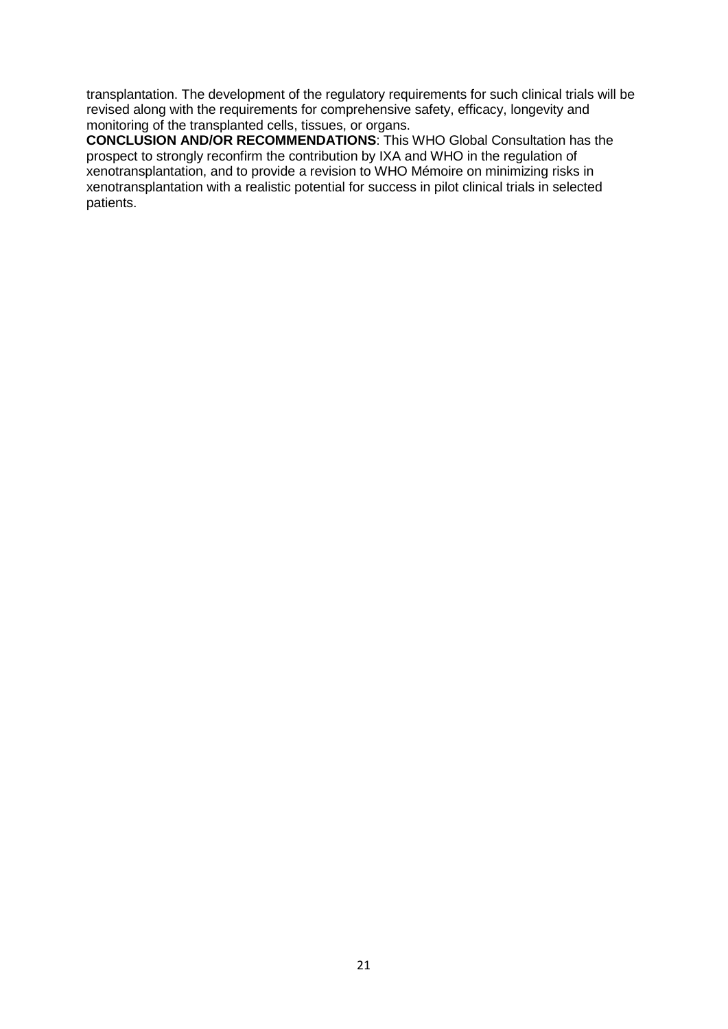transplantation. The development of the regulatory requirements for such clinical trials will be revised along with the requirements for comprehensive safety, efficacy, longevity and monitoring of the transplanted cells, tissues, or organs.

**CONCLUSION AND/OR RECOMMENDATIONS**: This WHO Global Consultation has the prospect to strongly reconfirm the contribution by IXA and WHO in the regulation of xenotransplantation, and to provide a revision to WHO Mémoire on minimizing risks in xenotransplantation with a realistic potential for success in pilot clinical trials in selected patients.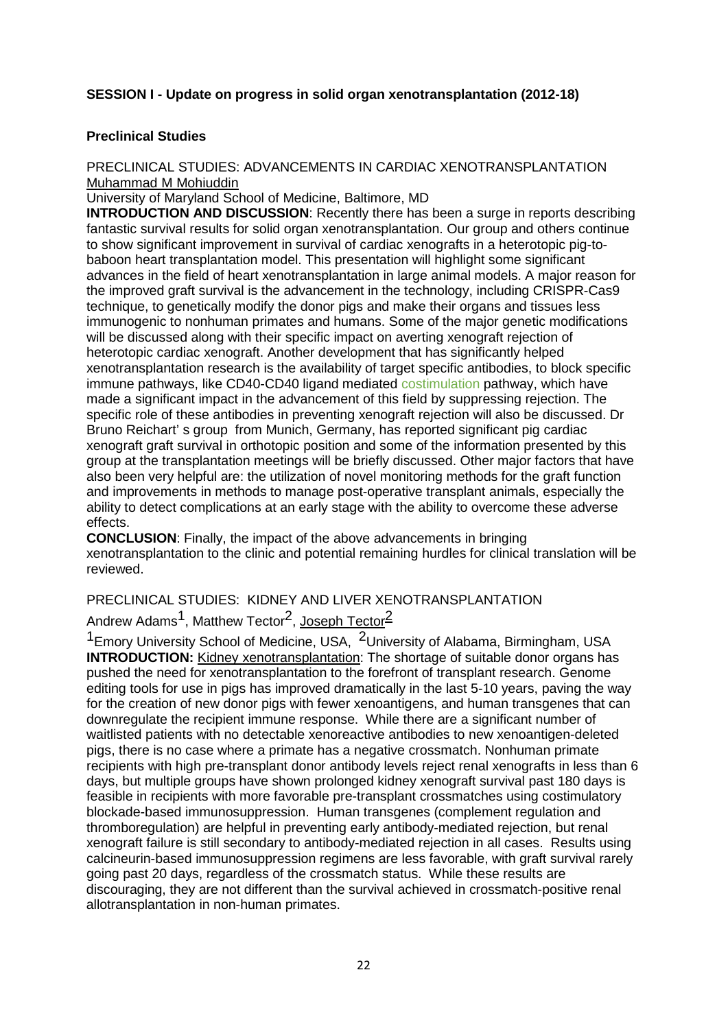# **SESSION I - Update on progress in solid organ xenotransplantation (2012-18)**

#### **Preclinical Studies**

#### PRECLINICAL STUDIES: ADVANCEMENTS IN CARDIAC XENOTRANSPLANTATION Muhammad M Mohiuddin

University of Maryland School of Medicine, Baltimore, MD

**INTRODUCTION AND DISCUSSION**: Recently there has been a surge in reports describing fantastic survival results for solid organ xenotransplantation. Our group and others continue to show significant improvement in survival of cardiac xenografts in a heterotopic pig-tobaboon heart transplantation model. This presentation will highlight some significant advances in the field of heart xenotransplantation in large animal models. A major reason for the improved graft survival is the advancement in the technology, including CRISPR-Cas9 technique, to genetically modify the donor pigs and make their organs and tissues less immunogenic to nonhuman primates and humans. Some of the major genetic modifications will be discussed along with their specific impact on averting xenograft rejection of heterotopic cardiac xenograft. Another development that has significantly helped xenotransplantation research is the availability of target specific antibodies, to block specific immune pathways, like CD40-CD40 ligand mediated costimulation pathway, which have made a significant impact in the advancement of this field by suppressing rejection. The specific role of these antibodies in preventing xenograft rejection will also be discussed. Dr Bruno Reichart' s group from Munich, Germany, has reported significant pig cardiac xenograft graft survival in orthotopic position and some of the information presented by this group at the transplantation meetings will be briefly discussed. Other major factors that have also been very helpful are: the utilization of novel monitoring methods for the graft function and improvements in methods to manage post-operative transplant animals, especially the ability to detect complications at an early stage with the ability to overcome these adverse effects.

**CONCLUSION**: Finally, the impact of the above advancements in bringing xenotransplantation to the clinic and potential remaining hurdles for clinical translation will be reviewed.

# PRECLINICAL STUDIES: KIDNEY AND LIVER XENOTRANSPLANTATION

# Andrew Adams<sup>1</sup>, Matthew Tector<sup>2</sup>, Joseph Tector<sup>2</sup>

<sup>1</sup> Emory University School of Medicine, USA, <sup>2</sup> University of Alabama, Birmingham, USA **INTRODUCTION:** Kidney xenotransplantation: The shortage of suitable donor organs has pushed the need for xenotransplantation to the forefront of transplant research. Genome editing tools for use in pigs has improved dramatically in the last 5-10 years, paving the way for the creation of new donor pigs with fewer xenoantigens, and human transgenes that can downregulate the recipient immune response. While there are a significant number of waitlisted patients with no detectable xenoreactive antibodies to new xenoantigen-deleted pigs, there is no case where a primate has a negative crossmatch. Nonhuman primate recipients with high pre-transplant donor antibody levels reject renal xenografts in less than 6 days, but multiple groups have shown prolonged kidney xenograft survival past 180 days is feasible in recipients with more favorable pre-transplant crossmatches using costimulatory blockade-based immunosuppression. Human transgenes (complement regulation and thromboregulation) are helpful in preventing early antibody-mediated rejection, but renal xenograft failure is still secondary to antibody-mediated rejection in all cases. Results using calcineurin-based immunosuppression regimens are less favorable, with graft survival rarely going past 20 days, regardless of the crossmatch status. While these results are discouraging, they are not different than the survival achieved in crossmatch-positive renal allotransplantation in non-human primates.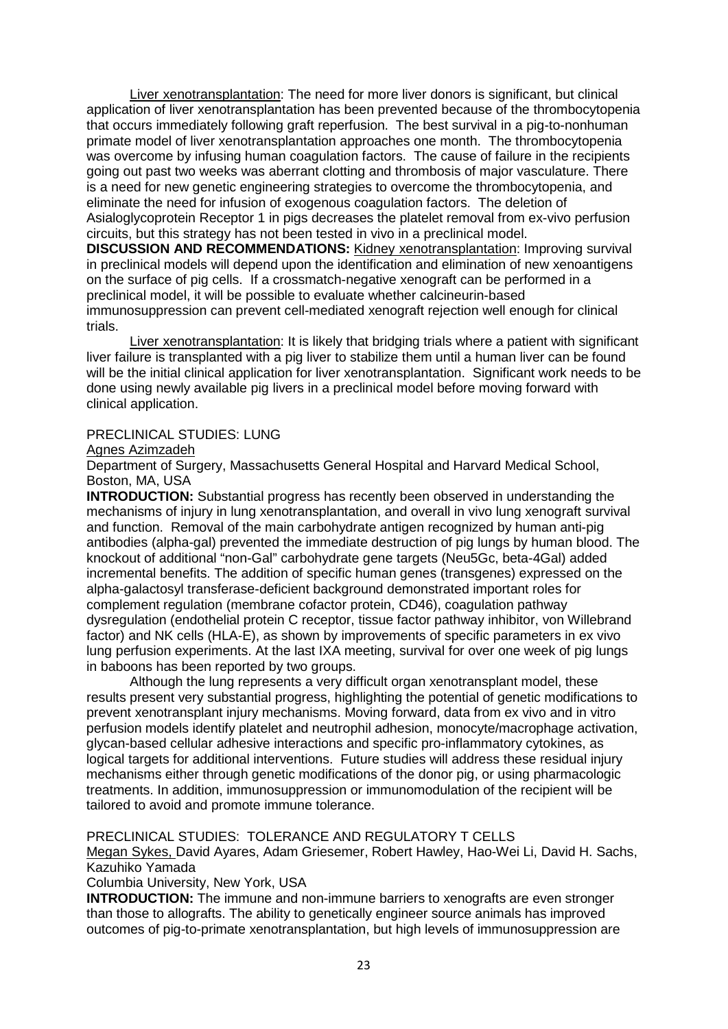Liver xenotransplantation: The need for more liver donors is significant, but clinical application of liver xenotransplantation has been prevented because of the thrombocytopenia that occurs immediately following graft reperfusion. The best survival in a pig-to-nonhuman primate model of liver xenotransplantation approaches one month. The thrombocytopenia was overcome by infusing human coagulation factors. The cause of failure in the recipients going out past two weeks was aberrant clotting and thrombosis of major vasculature. There is a need for new genetic engineering strategies to overcome the thrombocytopenia, and eliminate the need for infusion of exogenous coagulation factors. The deletion of Asialoglycoprotein Receptor 1 in pigs decreases the platelet removal from ex-vivo perfusion circuits, but this strategy has not been tested in vivo in a preclinical model.

**DISCUSSION AND RECOMMENDATIONS:** Kidney xenotransplantation: Improving survival in preclinical models will depend upon the identification and elimination of new xenoantigens on the surface of pig cells. If a crossmatch-negative xenograft can be performed in a preclinical model, it will be possible to evaluate whether calcineurin-based immunosuppression can prevent cell-mediated xenograft rejection well enough for clinical trials.

Liver xenotransplantation: It is likely that bridging trials where a patient with significant liver failure is transplanted with a pig liver to stabilize them until a human liver can be found will be the initial clinical application for liver xenotransplantation. Significant work needs to be done using newly available pig livers in a preclinical model before moving forward with clinical application.

### PRECLINICAL STUDIES: LUNG

#### Agnes Azimzadeh

Department of Surgery, Massachusetts General Hospital and Harvard Medical School, Boston, MA, USA

**INTRODUCTION:** Substantial progress has recently been observed in understanding the mechanisms of injury in lung xenotransplantation, and overall in vivo lung xenograft survival and function. Removal of the main carbohydrate antigen recognized by human anti-pig antibodies (alpha-gal) prevented the immediate destruction of pig lungs by human blood. The knockout of additional "non-Gal" carbohydrate gene targets (Neu5Gc, beta-4Gal) added incremental benefits. The addition of specific human genes (transgenes) expressed on the alpha-galactosyl transferase-deficient background demonstrated important roles for complement regulation (membrane cofactor protein, CD46), coagulation pathway dysregulation (endothelial protein C receptor, tissue factor pathway inhibitor, von Willebrand factor) and NK cells (HLA-E), as shown by improvements of specific parameters in ex vivo lung perfusion experiments. At the last IXA meeting, survival for over one week of pig lungs in baboons has been reported by two groups.

Although the lung represents a very difficult organ xenotransplant model, these results present very substantial progress, highlighting the potential of genetic modifications to prevent xenotransplant injury mechanisms. Moving forward, data from ex vivo and in vitro perfusion models identify platelet and neutrophil adhesion, monocyte/macrophage activation, glycan-based cellular adhesive interactions and specific pro-inflammatory cytokines, as logical targets for additional interventions. Future studies will address these residual injury mechanisms either through genetic modifications of the donor pig, or using pharmacologic treatments. In addition, immunosuppression or immunomodulation of the recipient will be tailored to avoid and promote immune tolerance.

PRECLINICAL STUDIES: TOLERANCE AND REGULATORY T CELLS

Megan Sykes, David Ayares, Adam Griesemer, Robert Hawley, Hao-Wei Li, David H. Sachs, Kazuhiko Yamada

Columbia University, New York, USA

**INTRODUCTION:** The immune and non-immune barriers to xenografts are even stronger than those to allografts. The ability to genetically engineer source animals has improved outcomes of pig-to-primate xenotransplantation, but high levels of immunosuppression are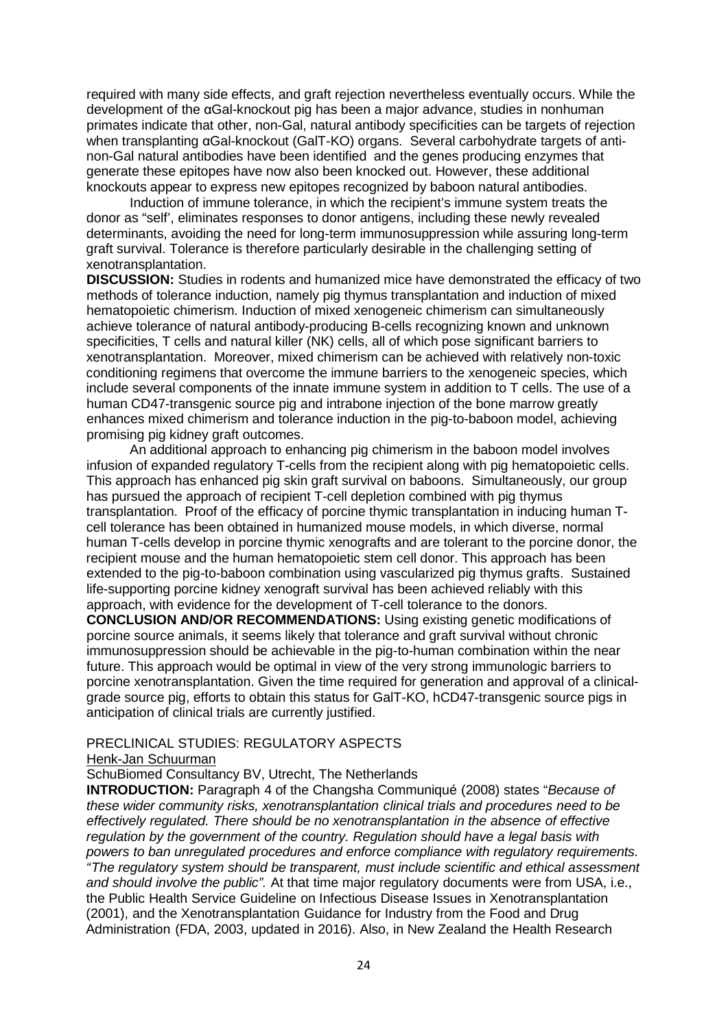required with many side effects, and graft rejection nevertheless eventually occurs. While the development of the αGal-knockout pig has been a major advance, studies in nonhuman primates indicate that other, non-Gal, natural antibody specificities can be targets of rejection when transplanting αGal-knockout (GalT-KO) organs. Several carbohydrate targets of antinon-Gal natural antibodies have been identified and the genes producing enzymes that generate these epitopes have now also been knocked out. However, these additional knockouts appear to express new epitopes recognized by baboon natural antibodies.

Induction of immune tolerance, in which the recipient's immune system treats the donor as "self', eliminates responses to donor antigens, including these newly revealed determinants, avoiding the need for long-term immunosuppression while assuring long-term graft survival. Tolerance is therefore particularly desirable in the challenging setting of xenotransplantation.

**DISCUSSION:** Studies in rodents and humanized mice have demonstrated the efficacy of two methods of tolerance induction, namely pig thymus transplantation and induction of mixed hematopoietic chimerism. Induction of mixed xenogeneic chimerism can simultaneously achieve tolerance of natural antibody-producing B-cells recognizing known and unknown specificities, T cells and natural killer (NK) cells, all of which pose significant barriers to xenotransplantation. Moreover, mixed chimerism can be achieved with relatively non-toxic conditioning regimens that overcome the immune barriers to the xenogeneic species, which include several components of the innate immune system in addition to T cells. The use of a human CD47-transgenic source pig and intrabone injection of the bone marrow greatly enhances mixed chimerism and tolerance induction in the pig-to-baboon model, achieving promising pig kidney graft outcomes.

An additional approach to enhancing pig chimerism in the baboon model involves infusion of expanded regulatory T-cells from the recipient along with pig hematopoietic cells. This approach has enhanced pig skin graft survival on baboons. Simultaneously, our group has pursued the approach of recipient T-cell depletion combined with pig thymus transplantation. Proof of the efficacy of porcine thymic transplantation in inducing human Tcell tolerance has been obtained in humanized mouse models, in which diverse, normal human T-cells develop in porcine thymic xenografts and are tolerant to the porcine donor, the recipient mouse and the human hematopoietic stem cell donor. This approach has been extended to the pig-to-baboon combination using vascularized pig thymus grafts. Sustained life-supporting porcine kidney xenograft survival has been achieved reliably with this approach, with evidence for the development of T-cell tolerance to the donors.

**CONCLUSION AND/OR RECOMMENDATIONS:** Using existing genetic modifications of porcine source animals, it seems likely that tolerance and graft survival without chronic immunosuppression should be achievable in the pig-to-human combination within the near future. This approach would be optimal in view of the very strong immunologic barriers to porcine xenotransplantation. Given the time required for generation and approval of a clinicalgrade source pig, efforts to obtain this status for GalT-KO, hCD47-transgenic source pigs in anticipation of clinical trials are currently justified.

#### PRECLINICAL STUDIES: REGULATORY ASPECTS

Henk-Jan Schuurman

SchuBiomed Consultancy BV, Utrecht, The Netherlands

**INTRODUCTION:** Paragraph 4 of the Changsha Communiqué (2008) states "*Because of these wider community risks, xenotransplantation clinical trials and procedures need to be effectively regulated. There should be no xenotransplantation in the absence of effective regulation by the government of the country. Regulation should have a legal basis with powers to ban unregulated procedures and enforce compliance with regulatory requirements. "The regulatory system should be transparent, must include scientific and ethical assessment and should involve the public".* At that time major regulatory documents were from USA, i.e., the Public Health Service Guideline on Infectious Disease Issues in Xenotransplantation (2001), and the Xenotransplantation Guidance for Industry from the Food and Drug Administration (FDA, 2003, updated in 2016). Also, in New Zealand the Health Research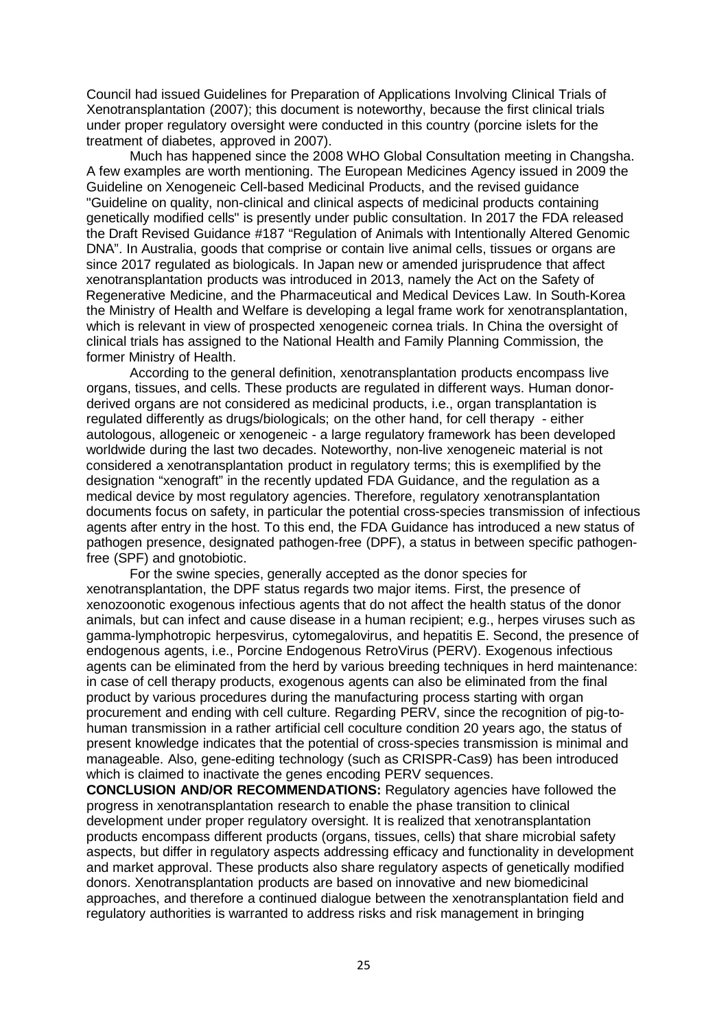Council had issued Guidelines for Preparation of Applications Involving Clinical Trials of Xenotransplantation (2007); this document is noteworthy, because the first clinical trials under proper regulatory oversight were conducted in this country (porcine islets for the treatment of diabetes, approved in 2007).

Much has happened since the 2008 WHO Global Consultation meeting in Changsha. A few examples are worth mentioning. The European Medicines Agency issued in 2009 the Guideline on Xenogeneic Cell-based Medicinal Products, and the revised guidance "Guideline on quality, non-clinical and clinical aspects of medicinal products containing genetically modified cells" is presently under public consultation. In 2017 the FDA released the Draft Revised Guidance #187 "Regulation of Animals with Intentionally Altered Genomic DNA". In Australia, goods that comprise or contain live animal cells, tissues or organs are since 2017 regulated as biologicals. In Japan new or amended jurisprudence that affect xenotransplantation products was introduced in 2013, namely the Act on the Safety of Regenerative Medicine, and the Pharmaceutical and Medical Devices Law. In South-Korea the Ministry of Health and Welfare is developing a legal frame work for xenotransplantation, which is relevant in view of prospected xenogeneic cornea trials. In China the oversight of clinical trials has assigned to the National Health and Family Planning Commission, the former Ministry of Health.

According to the general definition, xenotransplantation products encompass live organs, tissues, and cells. These products are regulated in different ways. Human donorderived organs are not considered as medicinal products, i.e., organ transplantation is regulated differently as drugs/biologicals; on the other hand, for cell therapy - either autologous, allogeneic or xenogeneic - a large regulatory framework has been developed worldwide during the last two decades. Noteworthy, non-live xenogeneic material is not considered a xenotransplantation product in regulatory terms; this is exemplified by the designation "xenograft" in the recently updated FDA Guidance, and the regulation as a medical device by most regulatory agencies. Therefore, regulatory xenotransplantation documents focus on safety, in particular the potential cross-species transmission of infectious agents after entry in the host. To this end, the FDA Guidance has introduced a new status of pathogen presence, designated pathogen-free (DPF), a status in between specific pathogenfree (SPF) and gnotobiotic.

For the swine species, generally accepted as the donor species for xenotransplantation, the DPF status regards two major items. First, the presence of xenozoonotic exogenous infectious agents that do not affect the health status of the donor animals, but can infect and cause disease in a human recipient; e.g., herpes viruses such as gamma-lymphotropic herpesvirus, cytomegalovirus, and hepatitis E. Second, the presence of endogenous agents, i.e., Porcine Endogenous RetroVirus (PERV). Exogenous infectious agents can be eliminated from the herd by various breeding techniques in herd maintenance: in case of cell therapy products, exogenous agents can also be eliminated from the final product by various procedures during the manufacturing process starting with organ procurement and ending with cell culture. Regarding PERV, since the recognition of pig-tohuman transmission in a rather artificial cell coculture condition 20 years ago, the status of present knowledge indicates that the potential of cross-species transmission is minimal and manageable. Also, gene-editing technology (such as CRISPR-Cas9) has been introduced which is claimed to inactivate the genes encoding PERV sequences.

**CONCLUSION AND/OR RECOMMENDATIONS:** Regulatory agencies have followed the progress in xenotransplantation research to enable the phase transition to clinical development under proper regulatory oversight. It is realized that xenotransplantation products encompass different products (organs, tissues, cells) that share microbial safety aspects, but differ in regulatory aspects addressing efficacy and functionality in development and market approval. These products also share regulatory aspects of genetically modified donors. Xenotransplantation products are based on innovative and new biomedicinal approaches, and therefore a continued dialogue between the xenotransplantation field and regulatory authorities is warranted to address risks and risk management in bringing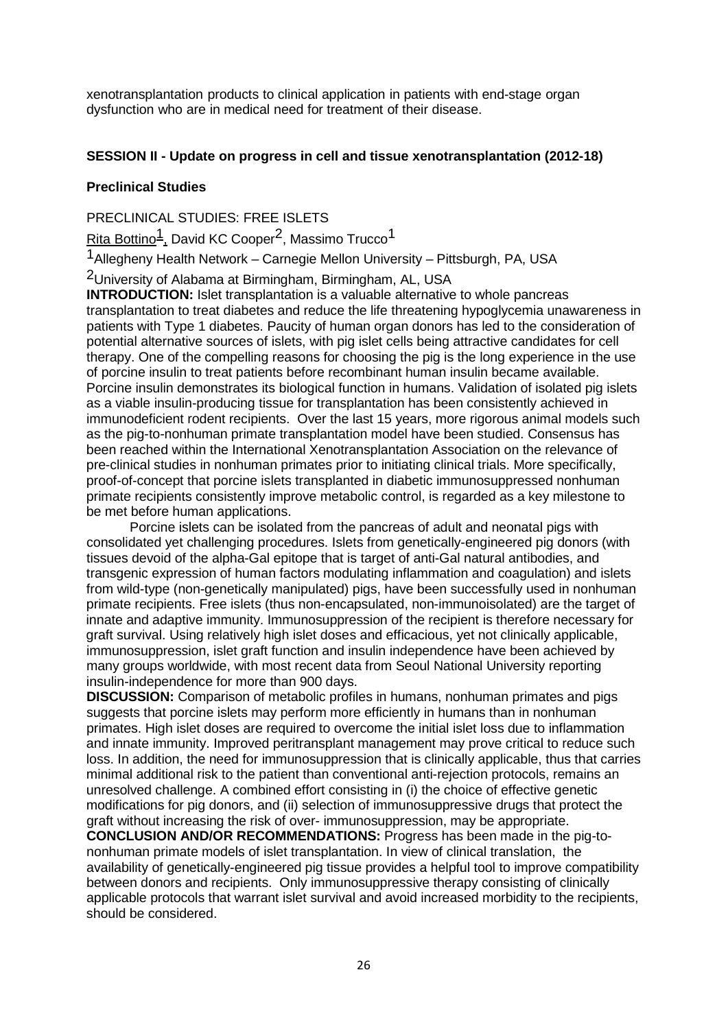xenotransplantation products to clinical application in patients with end-stage organ dysfunction who are in medical need for treatment of their disease.

## **SESSION II - Update on progress in cell and tissue xenotransplantation (2012-18)**

### **Preclinical Studies**

PRECLINICAL STUDIES: FREE ISLETS

Rita Bottino<sup>1</sup>, David KC Cooper<sup>2</sup>, Massimo Trucco<sup>1</sup>

1Allegheny Health Network – Carnegie Mellon University – Pittsburgh, PA, USA

2University of Alabama at Birmingham, Birmingham, AL, USA

**INTRODUCTION:** Islet transplantation is a valuable alternative to whole pancreas transplantation to treat diabetes and reduce the life threatening hypoglycemia unawareness in patients with Type 1 diabetes. Paucity of human organ donors has led to the consideration of potential alternative sources of islets, with pig islet cells being attractive candidates for cell therapy. One of the compelling reasons for choosing the pig is the long experience in the use of porcine insulin to treat patients before recombinant human insulin became available. Porcine insulin demonstrates its biological function in humans. Validation of isolated pig islets as a viable insulin-producing tissue for transplantation has been consistently achieved in immunodeficient rodent recipients. Over the last 15 years, more rigorous animal models such as the pig-to-nonhuman primate transplantation model have been studied. Consensus has been reached within the International Xenotransplantation Association on the relevance of pre-clinical studies in nonhuman primates prior to initiating clinical trials. More specifically, proof-of-concept that porcine islets transplanted in diabetic immunosuppressed nonhuman primate recipients consistently improve metabolic control, is regarded as a key milestone to be met before human applications.

Porcine islets can be isolated from the pancreas of adult and neonatal pigs with consolidated yet challenging procedures. Islets from genetically-engineered pig donors (with tissues devoid of the alpha-Gal epitope that is target of anti-Gal natural antibodies, and transgenic expression of human factors modulating inflammation and coagulation) and islets from wild-type (non-genetically manipulated) pigs, have been successfully used in nonhuman primate recipients. Free islets (thus non-encapsulated, non-immunoisolated) are the target of innate and adaptive immunity. Immunosuppression of the recipient is therefore necessary for graft survival. Using relatively high islet doses and efficacious, yet not clinically applicable, immunosuppression, islet graft function and insulin independence have been achieved by many groups worldwide, with most recent data from Seoul National University reporting insulin-independence for more than 900 days.

**DISCUSSION:** Comparison of metabolic profiles in humans, nonhuman primates and pigs suggests that porcine islets may perform more efficiently in humans than in nonhuman primates. High islet doses are required to overcome the initial islet loss due to inflammation and innate immunity. Improved peritransplant management may prove critical to reduce such loss. In addition, the need for immunosuppression that is clinically applicable, thus that carries minimal additional risk to the patient than conventional anti-rejection protocols, remains an unresolved challenge. A combined effort consisting in (i) the choice of effective genetic modifications for pig donors, and (ii) selection of immunosuppressive drugs that protect the graft without increasing the risk of over- immunosuppression, may be appropriate.

**CONCLUSION AND/OR RECOMMENDATIONS:** Progress has been made in the pig-tononhuman primate models of islet transplantation. In view of clinical translation, the availability of genetically-engineered pig tissue provides a helpful tool to improve compatibility between donors and recipients. Only immunosuppressive therapy consisting of clinically applicable protocols that warrant islet survival and avoid increased morbidity to the recipients, should be considered.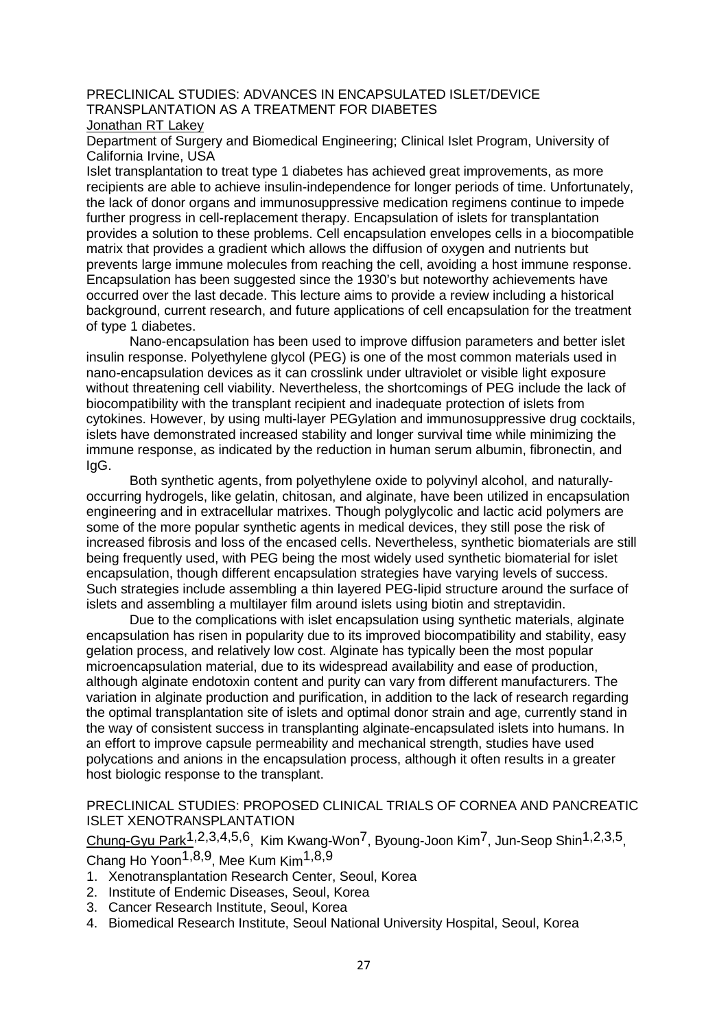#### PRECLINICAL STUDIES: ADVANCES IN ENCAPSULATED ISLET/DEVICE TRANSPLANTATION AS A TREATMENT FOR DIABETES Jonathan RT Lakey

Department of Surgery and Biomedical Engineering; Clinical Islet Program, University of California Irvine, USA

Islet transplantation to treat type 1 diabetes has achieved great improvements, as more recipients are able to achieve insulin-independence for longer periods of time. Unfortunately, the lack of donor organs and immunosuppressive medication regimens continue to impede further progress in cell-replacement therapy. Encapsulation of islets for transplantation provides a solution to these problems. Cell encapsulation envelopes cells in a biocompatible matrix that provides a gradient which allows the diffusion of oxygen and nutrients but prevents large immune molecules from reaching the cell, avoiding a host immune response. Encapsulation has been suggested since the 1930's but noteworthy achievements have occurred over the last decade. This lecture aims to provide a review including a historical background, current research, and future applications of cell encapsulation for the treatment of type 1 diabetes.

Nano-encapsulation has been used to improve diffusion parameters and better islet insulin response. Polyethylene glycol (PEG) is one of the most common materials used in nano-encapsulation devices as it can crosslink under ultraviolet or visible light exposure without threatening cell viability. Nevertheless, the shortcomings of PEG include the lack of biocompatibility with the transplant recipient and inadequate protection of islets from cytokines. However, by using multi-layer PEGylation and immunosuppressive drug cocktails, islets have demonstrated increased stability and longer survival time while minimizing the immune response, as indicated by the reduction in human serum albumin, fibronectin, and IgG.

Both synthetic agents, from polyethylene oxide to polyvinyl alcohol, and naturallyoccurring hydrogels, like gelatin, chitosan, and alginate, have been utilized in encapsulation engineering and in extracellular matrixes. Though polyglycolic and lactic acid polymers are some of the more popular synthetic agents in medical devices, they still pose the risk of increased fibrosis and loss of the encased cells. Nevertheless, synthetic biomaterials are still being frequently used, with PEG being the most widely used synthetic biomaterial for islet encapsulation, though different encapsulation strategies have varying levels of success. Such strategies include assembling a thin layered PEG-lipid structure around the surface of islets and assembling a multilayer film around islets using biotin and streptavidin.

Due to the complications with islet encapsulation using synthetic materials, alginate encapsulation has risen in popularity due to its improved biocompatibility and stability, easy gelation process, and relatively low cost. Alginate has typically been the most popular microencapsulation material, due to its widespread availability and ease of production, although alginate endotoxin content and purity can vary from different manufacturers. The variation in alginate production and purification, in addition to the lack of research regarding the optimal transplantation site of islets and optimal donor strain and age, currently stand in the way of consistent success in transplanting alginate-encapsulated islets into humans. In an effort to improve capsule permeability and mechanical strength, studies have used polycations and anions in the encapsulation process, although it often results in a greater host biologic response to the transplant.

#### PRECLINICAL STUDIES: PROPOSED CLINICAL TRIALS OF CORNEA AND PANCREATIC ISLET XENOTRANSPLANTATION

Chung-Gyu Park1,2,3,4,5,6, Kim Kwang-Won7, Byoung-Joon Kim7, Jun-Seop Shin1,2,3,5, Chang Ho Yoon1,8,9, Mee Kum Kim1,8,9

- 1. Xenotransplantation Research Center, Seoul, Korea
- 2. Institute of Endemic Diseases, Seoul, Korea
- 3. Cancer Research Institute, Seoul, Korea
- 4. Biomedical Research Institute, Seoul National University Hospital, Seoul, Korea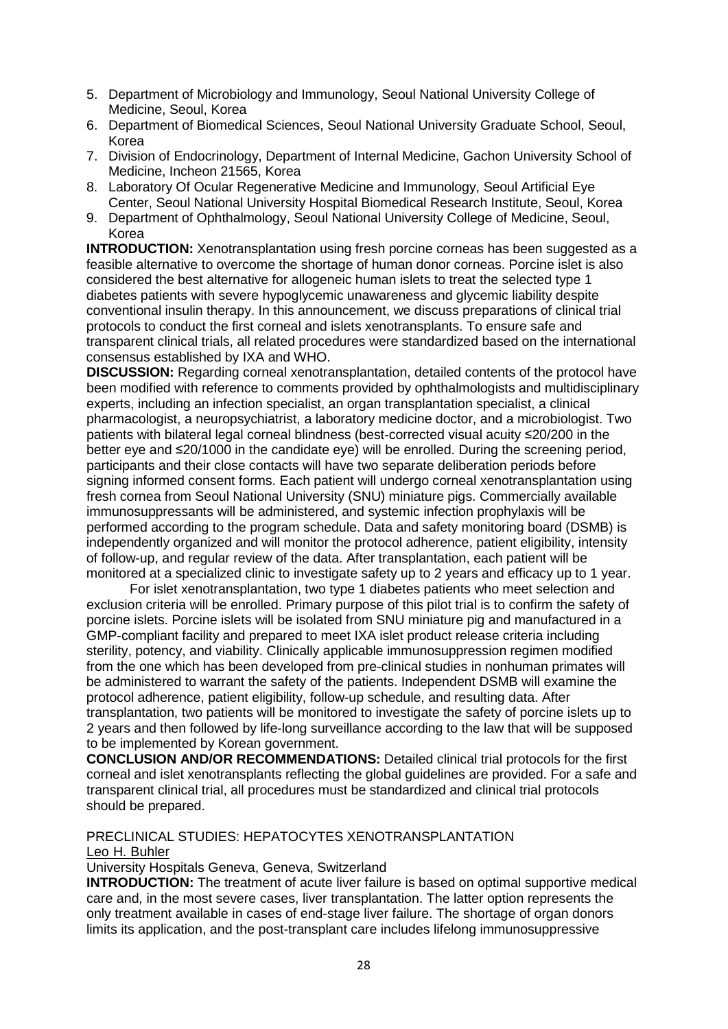- 5. Department of Microbiology and Immunology, Seoul National University College of Medicine, Seoul, Korea
- 6. Department of Biomedical Sciences, Seoul National University Graduate School, Seoul, Korea
- 7. Division of Endocrinology, Department of Internal Medicine, Gachon University School of Medicine, Incheon 21565, Korea
- 8. Laboratory Of Ocular Regenerative Medicine and Immunology, Seoul Artificial Eye Center, Seoul National University Hospital Biomedical Research Institute, Seoul, Korea
- 9. Department of Ophthalmology, Seoul National University College of Medicine, Seoul, Korea

**INTRODUCTION:** Xenotransplantation using fresh porcine corneas has been suggested as a feasible alternative to overcome the shortage of human donor corneas. Porcine islet is also considered the best alternative for allogeneic human islets to treat the selected type 1 diabetes patients with severe hypoglycemic unawareness and glycemic liability despite conventional insulin therapy. In this announcement, we discuss preparations of clinical trial protocols to conduct the first corneal and islets xenotransplants. To ensure safe and transparent clinical trials, all related procedures were standardized based on the international consensus established by IXA and WHO.

**DISCUSSION:** Regarding corneal xenotransplantation, detailed contents of the protocol have been modified with reference to comments provided by ophthalmologists and multidisciplinary experts, including an infection specialist, an organ transplantation specialist, a clinical pharmacologist, a neuropsychiatrist, a laboratory medicine doctor, and a microbiologist. Two patients with bilateral legal corneal blindness (best-corrected visual acuity ≤20/200 in the better eye and ≤20/1000 in the candidate eye) will be enrolled. During the screening period, participants and their close contacts will have two separate deliberation periods before signing informed consent forms. Each patient will undergo corneal xenotransplantation using fresh cornea from Seoul National University (SNU) miniature pigs. Commercially available immunosuppressants will be administered, and systemic infection prophylaxis will be performed according to the program schedule. Data and safety monitoring board (DSMB) is independently organized and will monitor the protocol adherence, patient eligibility, intensity of follow-up, and regular review of the data. After transplantation, each patient will be monitored at a specialized clinic to investigate safety up to 2 years and efficacy up to 1 year.

For islet xenotransplantation, two type 1 diabetes patients who meet selection and exclusion criteria will be enrolled. Primary purpose of this pilot trial is to confirm the safety of porcine islets. Porcine islets will be isolated from SNU miniature pig and manufactured in a GMP-compliant facility and prepared to meet IXA islet product release criteria including sterility, potency, and viability. Clinically applicable immunosuppression regimen modified from the one which has been developed from pre-clinical studies in nonhuman primates will be administered to warrant the safety of the patients. Independent DSMB will examine the protocol adherence, patient eligibility, follow-up schedule, and resulting data. After transplantation, two patients will be monitored to investigate the safety of porcine islets up to 2 years and then followed by life-long surveillance according to the law that will be supposed to be implemented by Korean government.

**CONCLUSION AND/OR RECOMMENDATIONS:** Detailed clinical trial protocols for the first corneal and islet xenotransplants reflecting the global guidelines are provided. For a safe and transparent clinical trial, all procedures must be standardized and clinical trial protocols should be prepared.

#### PRECLINICAL STUDIES: HEPATOCYTES XENOTRANSPLANTATION Leo H. Buhler

University Hospitals Geneva, Geneva, Switzerland

**INTRODUCTION:** The treatment of acute liver failure is based on optimal supportive medical care and, in the most severe cases, liver transplantation. The latter option represents the only treatment available in cases of end-stage liver failure. The shortage of organ donors limits its application, and the post-transplant care includes lifelong immunosuppressive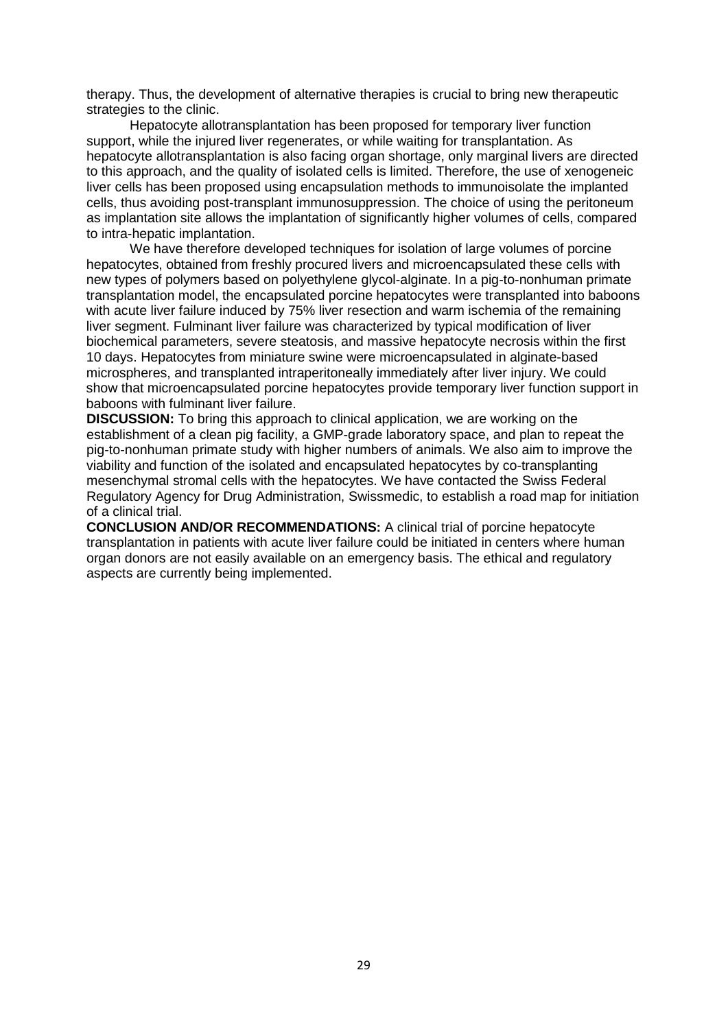therapy. Thus, the development of alternative therapies is crucial to bring new therapeutic strategies to the clinic.

Hepatocyte allotransplantation has been proposed for temporary liver function support, while the injured liver regenerates, or while waiting for transplantation. As hepatocyte allotransplantation is also facing organ shortage, only marginal livers are directed to this approach, and the quality of isolated cells is limited. Therefore, the use of xenogeneic liver cells has been proposed using encapsulation methods to immunoisolate the implanted cells, thus avoiding post-transplant immunosuppression. The choice of using the peritoneum as implantation site allows the implantation of significantly higher volumes of cells, compared to intra-hepatic implantation.

We have therefore developed techniques for isolation of large volumes of porcine hepatocytes, obtained from freshly procured livers and microencapsulated these cells with new types of polymers based on polyethylene glycol-alginate. In a pig-to-nonhuman primate transplantation model, the encapsulated porcine hepatocytes were transplanted into baboons with acute liver failure induced by 75% liver resection and warm ischemia of the remaining liver segment. Fulminant liver failure was characterized by typical modification of liver biochemical parameters, severe steatosis, and massive hepatocyte necrosis within the first 10 days. Hepatocytes from miniature swine were microencapsulated in alginate-based microspheres, and transplanted intraperitoneally immediately after liver injury. We could show that microencapsulated porcine hepatocytes provide temporary liver function support in baboons with fulminant liver failure.

**DISCUSSION:** To bring this approach to clinical application, we are working on the establishment of a clean pig facility, a GMP-grade laboratory space, and plan to repeat the pig-to-nonhuman primate study with higher numbers of animals. We also aim to improve the viability and function of the isolated and encapsulated hepatocytes by co-transplanting mesenchymal stromal cells with the hepatocytes. We have contacted the Swiss Federal Regulatory Agency for Drug Administration, Swissmedic, to establish a road map for initiation of a clinical trial.

**CONCLUSION AND/OR RECOMMENDATIONS:** A clinical trial of porcine hepatocyte transplantation in patients with acute liver failure could be initiated in centers where human organ donors are not easily available on an emergency basis. The ethical and regulatory aspects are currently being implemented.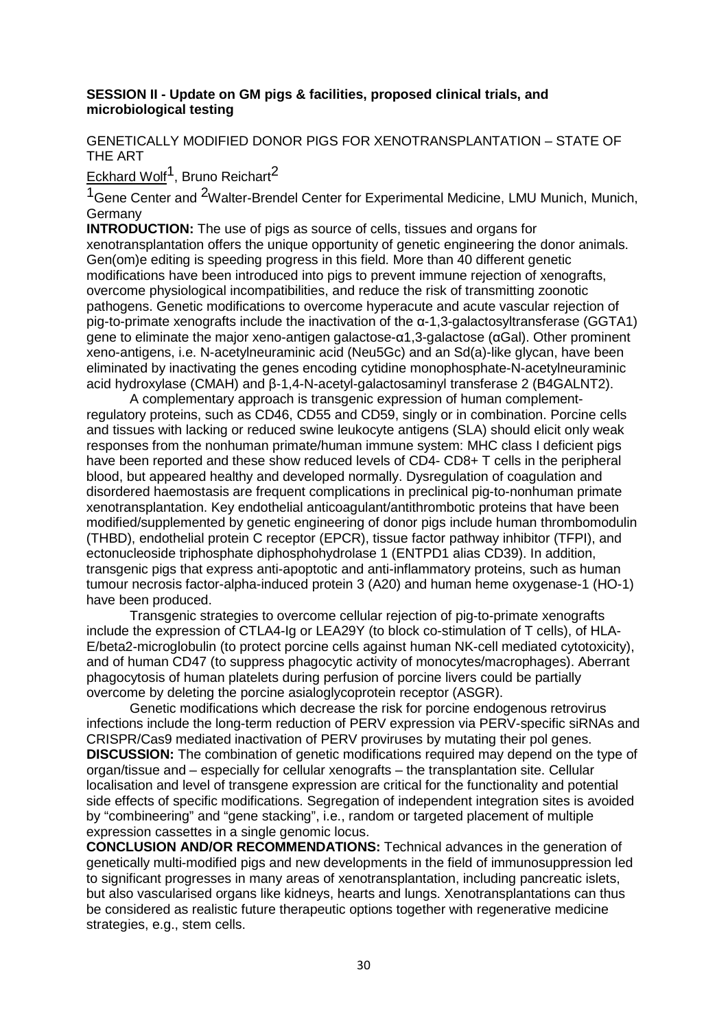### **SESSION II - Update on GM pigs & facilities, proposed clinical trials, and microbiological testing**

# GENETICALLY MODIFIED DONOR PIGS FOR XENOTRANSPLANTATION – STATE OF THE ART

<u>Eckhard Wolf</u><sup>1</sup>, Bruno Reichart<sup>2</sup>

<sup>1</sup>Gene Center and <sup>2</sup>Walter-Brendel Center for Experimental Medicine, LMU Munich, Munich, Germany

**INTRODUCTION:** The use of pigs as source of cells, tissues and organs for xenotransplantation offers the unique opportunity of genetic engineering the donor animals. Gen(om)e editing is speeding progress in this field. More than 40 different genetic modifications have been introduced into pigs to prevent immune rejection of xenografts, overcome physiological incompatibilities, and reduce the risk of transmitting zoonotic pathogens. Genetic modifications to overcome hyperacute and acute vascular rejection of pig-to-primate xenografts include the inactivation of the α-1,3-galactosyltransferase (GGTA1) gene to eliminate the major xeno-antigen galactose-α1,3-galactose (αGal). Other prominent xeno-antigens, i.e. N-acetylneuraminic acid (Neu5Gc) and an Sd(a)-like glycan, have been eliminated by inactivating the genes encoding cytidine monophosphate-N-acetylneuraminic acid hydroxylase (CMAH) and β-1,4-N-acetyl-galactosaminyl transferase 2 (B4GALNT2).

A complementary approach is transgenic expression of human complementregulatory proteins, such as CD46, CD55 and CD59, singly or in combination. Porcine cells and tissues with lacking or reduced swine leukocyte antigens (SLA) should elicit only weak responses from the nonhuman primate/human immune system: MHC class I deficient pigs have been reported and these show reduced levels of CD4- CD8+ T cells in the peripheral blood, but appeared healthy and developed normally. Dysregulation of coagulation and disordered haemostasis are frequent complications in preclinical pig-to-nonhuman primate xenotransplantation. Key endothelial anticoagulant/antithrombotic proteins that have been modified/supplemented by genetic engineering of donor pigs include human thrombomodulin (THBD), endothelial protein C receptor (EPCR), tissue factor pathway inhibitor (TFPI), and ectonucleoside triphosphate diphosphohydrolase 1 (ENTPD1 alias CD39). In addition, transgenic pigs that express anti-apoptotic and anti-inflammatory proteins, such as human tumour necrosis factor-alpha-induced protein 3 (A20) and human heme oxygenase-1 (HO-1) have been produced.

Transgenic strategies to overcome cellular rejection of pig-to-primate xenografts include the expression of CTLA4-Ig or LEA29Y (to block co-stimulation of T cells), of HLA-E/beta2-microglobulin (to protect porcine cells against human NK-cell mediated cytotoxicity), and of human CD47 (to suppress phagocytic activity of monocytes/macrophages). Aberrant phagocytosis of human platelets during perfusion of porcine livers could be partially overcome by deleting the porcine asialoglycoprotein receptor (ASGR).

Genetic modifications which decrease the risk for porcine endogenous retrovirus infections include the long-term reduction of PERV expression via PERV-specific siRNAs and CRISPR/Cas9 mediated inactivation of PERV proviruses by mutating their pol genes. **DISCUSSION:** The combination of genetic modifications required may depend on the type of organ/tissue and – especially for cellular xenografts – the transplantation site. Cellular localisation and level of transgene expression are critical for the functionality and potential side effects of specific modifications. Segregation of independent integration sites is avoided by "combineering" and "gene stacking", i.e., random or targeted placement of multiple expression cassettes in a single genomic locus.

**CONCLUSION AND/OR RECOMMENDATIONS:** Technical advances in the generation of genetically multi-modified pigs and new developments in the field of immunosuppression led to significant progresses in many areas of xenotransplantation, including pancreatic islets, but also vascularised organs like kidneys, hearts and lungs. Xenotransplantations can thus be considered as realistic future therapeutic options together with regenerative medicine strategies, e.g., stem cells.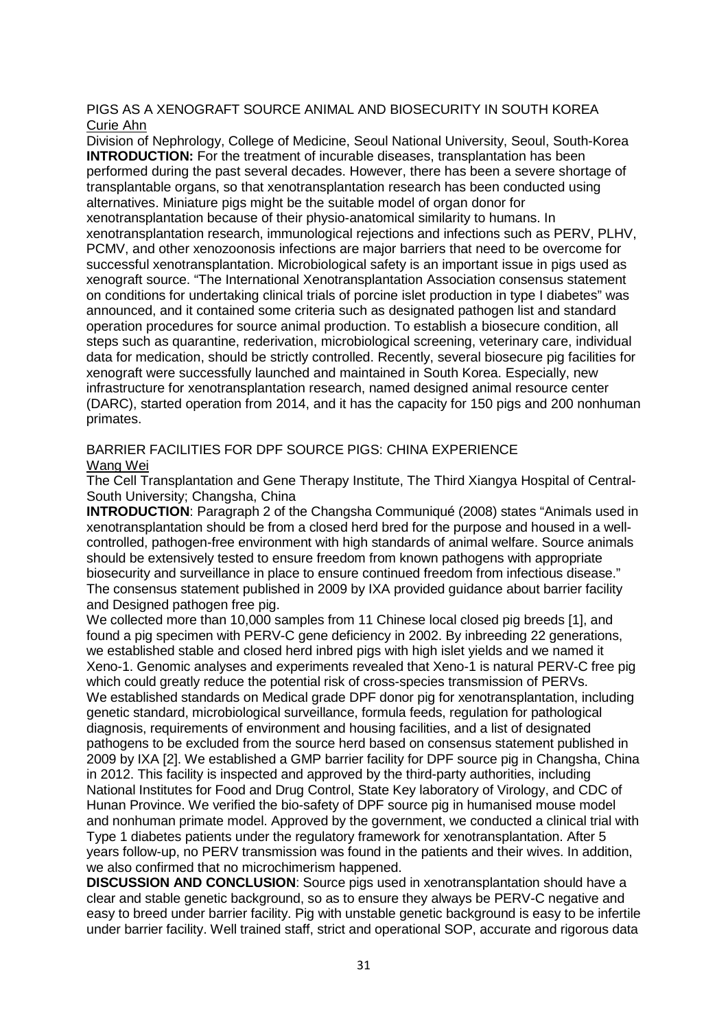#### PIGS AS A XENOGRAFT SOURCE ANIMAL AND BIOSECURITY IN SOUTH KOREA Curie Ahn

Division of Nephrology, College of Medicine, Seoul National University, Seoul, South-Korea **INTRODUCTION:** For the treatment of incurable diseases, transplantation has been performed during the past several decades. However, there has been a severe shortage of transplantable organs, so that xenotransplantation research has been conducted using alternatives. Miniature pigs might be the suitable model of organ donor for xenotransplantation because of their physio-anatomical similarity to humans. In xenotransplantation research, immunological rejections and infections such as PERV, PLHV, PCMV, and other xenozoonosis infections are major barriers that need to be overcome for successful xenotransplantation. Microbiological safety is an important issue in pigs used as xenograft source. "The International Xenotransplantation Association consensus statement on conditions for undertaking clinical trials of porcine islet production in type I diabetes" was announced, and it contained some criteria such as designated pathogen list and standard operation procedures for source animal production. To establish a biosecure condition, all steps such as quarantine, rederivation, microbiological screening, veterinary care, individual data for medication, should be strictly controlled. Recently, several biosecure pig facilities for xenograft were successfully launched and maintained in South Korea. Especially, new infrastructure for xenotransplantation research, named designed animal resource center (DARC), started operation from 2014, and it has the capacity for 150 pigs and 200 nonhuman primates.

### BARRIER FACILITIES FOR DPF SOURCE PIGS: CHINA EXPERIENCE Wang Wei

The Cell Transplantation and Gene Therapy Institute, The Third Xiangya Hospital of Central-South University; Changsha, China

**INTRODUCTION**: Paragraph 2 of the Changsha Communiqué (2008) states "Animals used in xenotransplantation should be from a closed herd bred for the purpose and housed in a wellcontrolled, pathogen-free environment with high standards of animal welfare. Source animals should be extensively tested to ensure freedom from known pathogens with appropriate biosecurity and surveillance in place to ensure continued freedom from infectious disease." The consensus statement published in 2009 by IXA provided guidance about barrier facility and Designed pathogen free pig.

We collected more than 10,000 samples from 11 Chinese local closed pig breeds [1], and found a pig specimen with PERV-C gene deficiency in 2002. By inbreeding 22 generations, we established stable and closed herd inbred pigs with high islet yields and we named it Xeno-1. Genomic analyses and experiments revealed that Xeno-1 is natural PERV-C free pig which could greatly reduce the potential risk of cross-species transmission of PERVs. We established standards on Medical grade DPF donor pig for xenotransplantation, including genetic standard, microbiological surveillance, formula feeds, regulation for pathological diagnosis, requirements of environment and housing facilities, and a list of designated pathogens to be excluded from the source herd based on consensus statement published in 2009 by IXA [2]. We established a GMP barrier facility for DPF source pig in Changsha, China in 2012. This facility is inspected and approved by the third-party authorities, including National Institutes for Food and Drug Control, State Key laboratory of Virology, and CDC of Hunan Province. We verified the bio-safety of DPF source pig in humanised mouse model and nonhuman primate model. Approved by the government, we conducted a clinical trial with Type 1 diabetes patients under the regulatory framework for xenotransplantation. After 5 years follow-up, no PERV transmission was found in the patients and their wives. In addition, we also confirmed that no microchimerism happened.

**DISCUSSION AND CONCLUSION**: Source pigs used in xenotransplantation should have a clear and stable genetic background, so as to ensure they always be PERV-C negative and easy to breed under barrier facility. Pig with unstable genetic background is easy to be infertile under barrier facility. Well trained staff, strict and operational SOP, accurate and rigorous data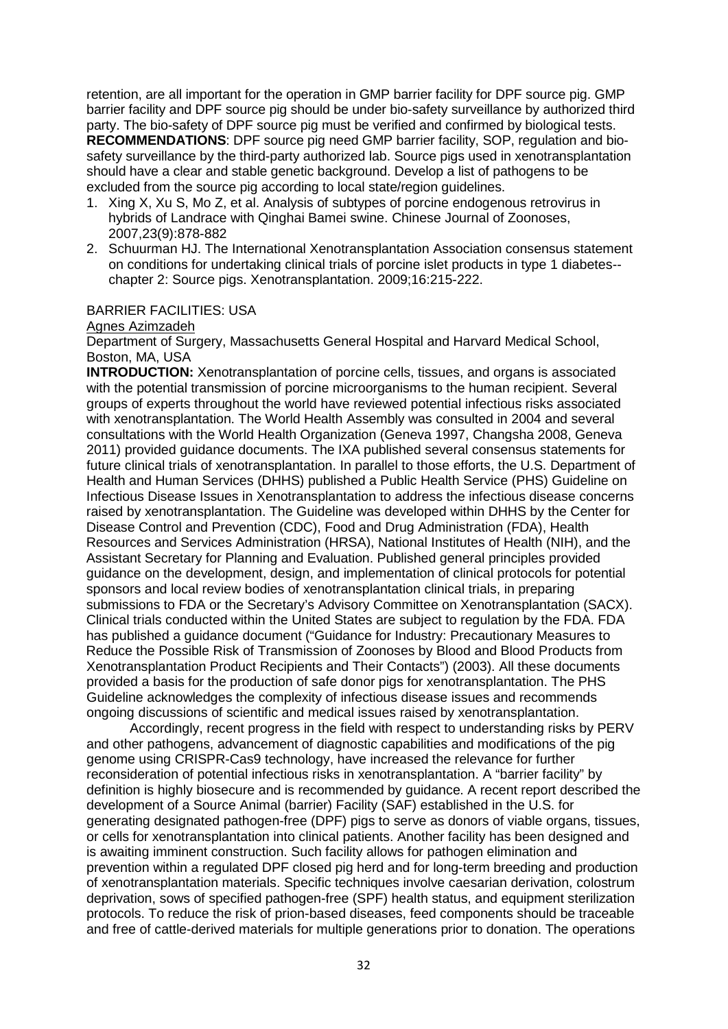retention, are all important for the operation in GMP barrier facility for DPF source pig. GMP barrier facility and DPF source pig should be under bio-safety surveillance by authorized third party. The bio-safety of DPF source pig must be verified and confirmed by biological tests. **RECOMMENDATIONS**: DPF source pig need GMP barrier facility, SOP, regulation and biosafety surveillance by the third-party authorized lab. Source pigs used in xenotransplantation should have a clear and stable genetic background. Develop a list of pathogens to be excluded from the source pig according to local state/region guidelines.

- 1. Xing X, Xu S, Mo Z, et al. Analysis of subtypes of porcine endogenous retrovirus in hybrids of Landrace with Qinghai Bamei swine. Chinese Journal of Zoonoses, 2007,23(9):878-882
- 2. Schuurman HJ. The International Xenotransplantation Association consensus statement on conditions for undertaking clinical trials of porcine islet products in type 1 diabetes- chapter 2: Source pigs. Xenotransplantation. 2009;16:215-222.

#### BARRIER FACILITIES: USA

#### Agnes Azimzadeh

Department of Surgery, Massachusetts General Hospital and Harvard Medical School, Boston, MA, USA

**INTRODUCTION:** Xenotransplantation of porcine cells, tissues, and organs is associated with the potential transmission of porcine microorganisms to the human recipient. Several groups of experts throughout the world have reviewed potential infectious risks associated with xenotransplantation. The World Health Assembly was consulted in 2004 and several consultations with the World Health Organization (Geneva 1997, Changsha 2008, Geneva 2011) provided guidance documents. The IXA published several consensus statements for future clinical trials of xenotransplantation. In parallel to those efforts, the U.S. Department of Health and Human Services (DHHS) published a Public Health Service (PHS) Guideline on Infectious Disease Issues in Xenotransplantation to address the infectious disease concerns raised by xenotransplantation. The Guideline was developed within DHHS by the Center for Disease Control and Prevention (CDC), Food and Drug Administration (FDA), Health Resources and Services Administration (HRSA), National Institutes of Health (NIH), and the Assistant Secretary for Planning and Evaluation. Published general principles provided guidance on the development, design, and implementation of clinical protocols for potential sponsors and local review bodies of xenotransplantation clinical trials, in preparing submissions to FDA or the Secretary's Advisory Committee on Xenotransplantation (SACX). Clinical trials conducted within the United States are subject to regulation by the FDA. FDA has published a guidance document ("Guidance for Industry: Precautionary Measures to Reduce the Possible Risk of Transmission of Zoonoses by Blood and Blood Products from Xenotransplantation Product Recipients and Their Contacts") (2003). All these documents provided a basis for the production of safe donor pigs for xenotransplantation. The PHS Guideline acknowledges the complexity of infectious disease issues and recommends ongoing discussions of scientific and medical issues raised by xenotransplantation.

Accordingly, recent progress in the field with respect to understanding risks by PERV and other pathogens, advancement of diagnostic capabilities and modifications of the pig genome using CRISPR-Cas9 technology, have increased the relevance for further reconsideration of potential infectious risks in xenotransplantation. A "barrier facility" by definition is highly biosecure and is recommended by guidance. A recent report described the development of a Source Animal (barrier) Facility (SAF) established in the U.S. for generating designated pathogen-free (DPF) pigs to serve as donors of viable organs, tissues, or cells for xenotransplantation into clinical patients. Another facility has been designed and is awaiting imminent construction. Such facility allows for pathogen elimination and prevention within a regulated DPF closed pig herd and for long-term breeding and production of xenotransplantation materials. Specific techniques involve caesarian derivation, colostrum deprivation, sows of specified pathogen-free (SPF) health status, and equipment sterilization protocols. To reduce the risk of prion-based diseases, feed components should be traceable and free of cattle-derived materials for multiple generations prior to donation. The operations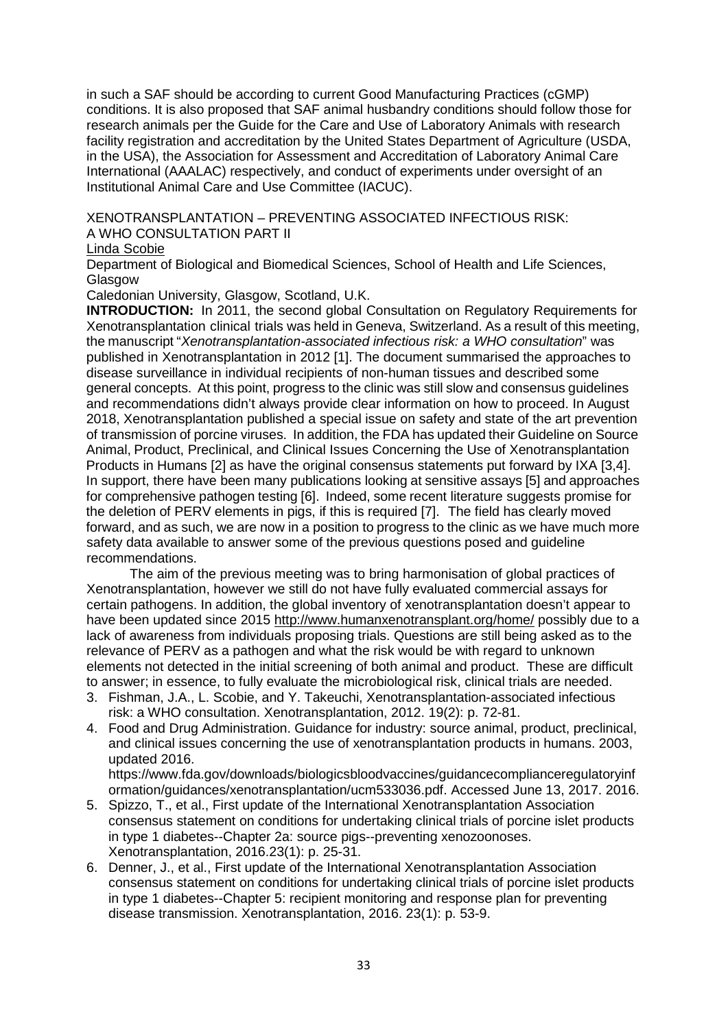in such a SAF should be according to current Good Manufacturing Practices (cGMP) conditions. It is also proposed that SAF animal husbandry conditions should follow those for research animals per the Guide for the Care and Use of Laboratory Animals with research facility registration and accreditation by the United States Department of Agriculture (USDA, in the USA), the Association for Assessment and Accreditation of Laboratory Animal Care International (AAALAC) respectively, and conduct of experiments under oversight of an Institutional Animal Care and Use Committee (IACUC).

XENOTRANSPLANTATION – PREVENTING ASSOCIATED INFECTIOUS RISK: A WHO CONSULTATION PART II

### Linda Scobie

Department of Biological and Biomedical Sciences, School of Health and Life Sciences, Glasgow

Caledonian University, Glasgow, Scotland, U.K.

**INTRODUCTION:** In 2011, the second global Consultation on Regulatory Requirements for Xenotransplantation clinical trials was held in Geneva, Switzerland. As a result of this meeting, the manuscript "*Xenotransplantation-associated infectious risk: a WHO consultation*" was published in Xenotransplantation in 2012 [1]. The document summarised the approaches to disease surveillance in individual recipients of non-human tissues and described some general concepts. At this point, progress to the clinic was still slow and consensus guidelines and recommendations didn't always provide clear information on how to proceed. In August 2018, Xenotransplantation published a special issue on safety and state of the art prevention of transmission of porcine viruses. In addition, the FDA has updated their Guideline on Source Animal, Product, Preclinical, and Clinical Issues Concerning the Use of Xenotransplantation Products in Humans [2] as have the original consensus statements put forward by IXA [3,4]. In support, there have been many publications looking at sensitive assays [5] and approaches for comprehensive pathogen testing [6]. Indeed, some recent literature suggests promise for the deletion of PERV elements in pigs, if this is required [7]. The field has clearly moved forward, and as such, we are now in a position to progress to the clinic as we have much more safety data available to answer some of the previous questions posed and guideline recommendations.

The aim of the previous meeting was to bring harmonisation of global practices of Xenotransplantation, however we still do not have fully evaluated commercial assays for certain pathogens. In addition, the global inventory of xenotransplantation doesn't appear to have been updated since 2015<http://www.humanxenotransplant.org/home/> possibly due to a lack of awareness from individuals proposing trials. Questions are still being asked as to the relevance of PERV as a pathogen and what the risk would be with regard to unknown elements not detected in the initial screening of both animal and product. These are difficult to answer; in essence, to fully evaluate the microbiological risk, clinical trials are needed.

- 3. Fishman, J.A., L. Scobie, and Y. Takeuchi, Xenotransplantation-associated infectious risk: a WHO consultation. Xenotransplantation, 2012. 19(2): p. 72-81.
- 4. Food and Drug Administration. Guidance for industry: source animal, product, preclinical, and clinical issues concerning the use of xenotransplantation products in humans. 2003, updated 2016.

https:/[/www.fda.gov/downloads/biologicsbloodvaccines/guidancecomplianceregulatoryinf](http://www.fda.gov/downloads/biologicsbloodvaccines/guidancecomplianceregulatoryinformation/guidances/xenotransplantation/ucm533) [ormation/guidances/xenotransplantation/ucm5330](http://www.fda.gov/downloads/biologicsbloodvaccines/guidancecomplianceregulatoryinformation/guidances/xenotransplantation/ucm533)36.pdf. Accessed June 13, 2017. 2016.

- 5. Spizzo, T., et al., First update of the International Xenotransplantation Association consensus statement on conditions for undertaking clinical trials of porcine islet products in type 1 diabetes--Chapter 2a: source pigs--preventing xenozoonoses. Xenotransplantation, 2016.23(1): p. 25-31.
- 6. Denner, J., et al., First update of the International Xenotransplantation Association consensus statement on conditions for undertaking clinical trials of porcine islet products in type 1 diabetes--Chapter 5: recipient monitoring and response plan for preventing disease transmission. Xenotransplantation, 2016. 23(1): p. 53-9.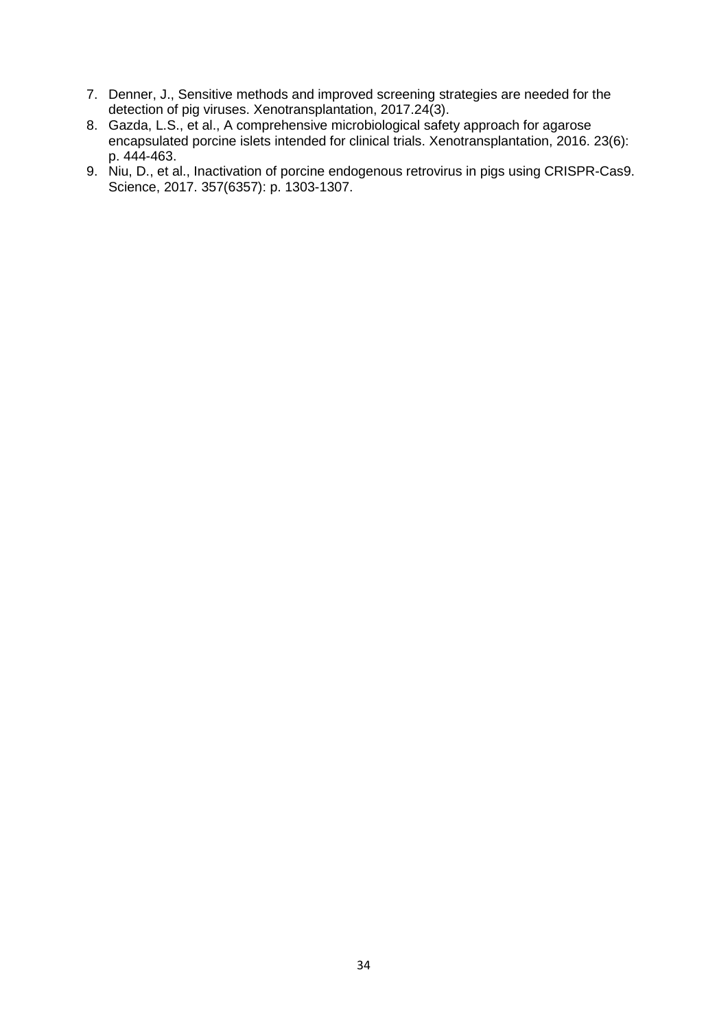- 7. Denner, J., Sensitive methods and improved screening strategies are needed for the detection of pig viruses. Xenotransplantation, 2017.24(3).
- 8. Gazda, L.S., et al., A comprehensive microbiological safety approach for agarose encapsulated porcine islets intended for clinical trials. Xenotransplantation, 2016. 23(6): p. 444-463.
- 9. Niu, D., et al., Inactivation of porcine endogenous retrovirus in pigs using CRISPR-Cas9. Science, 2017. 357(6357): p. 1303-1307.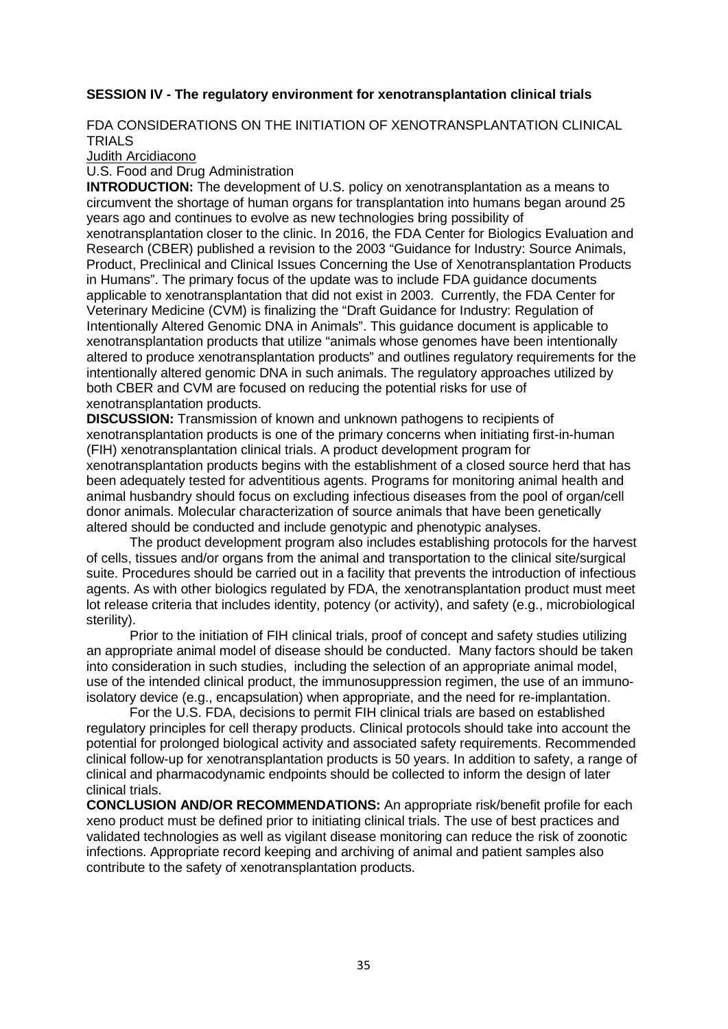### **SESSION IV - The regulatory environment for xenotransplantation clinical trials**

#### FDA CONSIDERATIONS ON THE INITIATION OF XENOTRANSPLANTATION CLINICAL **TRIALS**

Judith Arcidiacono

#### U.S. Food and Drug Administration

**INTRODUCTION:** The development of U.S. policy on xenotransplantation as a means to circumvent the shortage of human organs for transplantation into humans began around 25 years ago and continues to evolve as new technologies bring possibility of xenotransplantation closer to the clinic. In 2016, the FDA Center for Biologics Evaluation and Research (CBER) published a revision to the 2003 "Guidance for Industry: Source Animals, Product, Preclinical and Clinical Issues Concerning the Use of Xenotransplantation Products in Humans". The primary focus of the update was to include FDA guidance documents applicable to xenotransplantation that did not exist in 2003. Currently, the FDA Center for Veterinary Medicine (CVM) is finalizing the "Draft Guidance for Industry: Regulation of Intentionally Altered Genomic DNA in Animals". This guidance document is applicable to xenotransplantation products that utilize "animals whose genomes have been intentionally altered to produce xenotransplantation products" and outlines regulatory requirements for the intentionally altered genomic DNA in such animals. The regulatory approaches utilized by both CBER and CVM are focused on reducing the potential risks for use of xenotransplantation products.

**DISCUSSION:** Transmission of known and unknown pathogens to recipients of xenotransplantation products is one of the primary concerns when initiating first-in-human (FIH) xenotransplantation clinical trials. A product development program for xenotransplantation products begins with the establishment of a closed source herd that has been adequately tested for adventitious agents. Programs for monitoring animal health and animal husbandry should focus on excluding infectious diseases from the pool of organ/cell donor animals. Molecular characterization of source animals that have been genetically altered should be conducted and include genotypic and phenotypic analyses.

The product development program also includes establishing protocols for the harvest of cells, tissues and/or organs from the animal and transportation to the clinical site/surgical suite. Procedures should be carried out in a facility that prevents the introduction of infectious agents. As with other biologics regulated by FDA, the xenotransplantation product must meet lot release criteria that includes identity, potency (or activity), and safety (e.g., microbiological sterility).

Prior to the initiation of FIH clinical trials, proof of concept and safety studies utilizing an appropriate animal model of disease should be conducted. Many factors should be taken into consideration in such studies, including the selection of an appropriate animal model, use of the intended clinical product, the immunosuppression regimen, the use of an immunoisolatory device (e.g., encapsulation) when appropriate, and the need for re-implantation.

For the U.S. FDA, decisions to permit FIH clinical trials are based on established regulatory principles for cell therapy products. Clinical protocols should take into account the potential for prolonged biological activity and associated safety requirements. Recommended clinical follow-up for xenotransplantation products is 50 years. In addition to safety, a range of clinical and pharmacodynamic endpoints should be collected to inform the design of later clinical trials.

**CONCLUSION AND/OR RECOMMENDATIONS:** An appropriate risk/benefit profile for each xeno product must be defined prior to initiating clinical trials. The use of best practices and validated technologies as well as vigilant disease monitoring can reduce the risk of zoonotic infections. Appropriate record keeping and archiving of animal and patient samples also contribute to the safety of xenotransplantation products.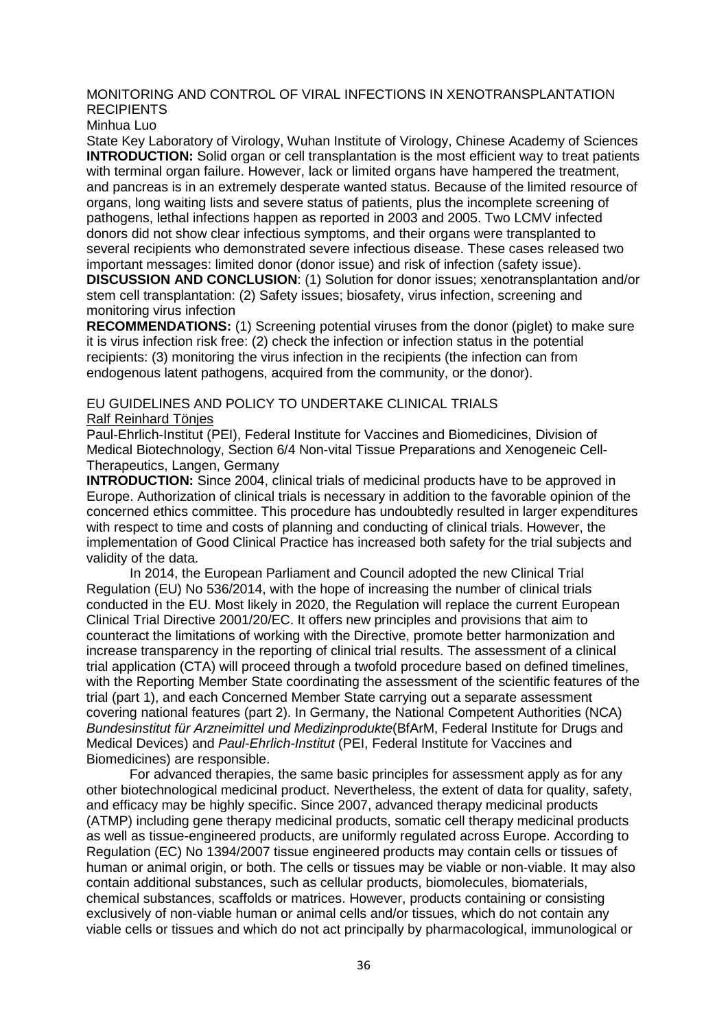#### MONITORING AND CONTROL OF VIRAL INFECTIONS IN XENOTRANSPLANTATION **RECIPIENTS**

Minhua Luo

State Key Laboratory of Virology, Wuhan Institute of Virology, Chinese Academy of Sciences **INTRODUCTION:** Solid organ or cell transplantation is the most efficient way to treat patients with terminal organ failure. However, lack or limited organs have hampered the treatment, and pancreas is in an extremely desperate wanted status. Because of the limited resource of organs, long waiting lists and severe status of patients, plus the incomplete screening of pathogens, lethal infections happen as reported in 2003 and 2005. Two LCMV infected donors did not show clear infectious symptoms, and their organs were transplanted to several recipients who demonstrated severe infectious disease. These cases released two important messages: limited donor (donor issue) and risk of infection (safety issue). **DISCUSSION AND CONCLUSION**: (1) Solution for donor issues; xenotransplantation and/or stem cell transplantation: (2) Safety issues; biosafety, virus infection, screening and monitoring virus infection

**RECOMMENDATIONS:** (1) Screening potential viruses from the donor (piglet) to make sure it is virus infection risk free: (2) check the infection or infection status in the potential recipients: (3) monitoring the virus infection in the recipients (the infection can from endogenous latent pathogens, acquired from the community, or the donor).

#### EU GUIDELINES AND POLICY TO UNDERTAKE CLINICAL TRIALS Ralf Reinhard Tönjes

Paul-Ehrlich-Institut (PEI), Federal Institute for Vaccines and Biomedicines, Division of Medical Biotechnology, Section 6/4 Non-vital Tissue Preparations and Xenogeneic Cell-Therapeutics, Langen, Germany

**INTRODUCTION:** Since 2004, clinical trials of medicinal products have to be approved in Europe. Authorization of clinical trials is necessary in addition to the favorable opinion of the concerned ethics committee. This procedure has undoubtedly resulted in larger expenditures with respect to time and costs of planning and conducting of clinical trials. However, the implementation of Good Clinical Practice has increased both safety for the trial subjects and validity of the data.

In 2014, the European Parliament and Council adopted the new Clinical Trial Regulation (EU) No 536/2014, with the hope of increasing the number of clinical trials conducted in the EU. Most likely in 2020, the Regulation will replace the current European Clinical Trial Directive 2001/20/EC. It offers new principles and provisions that aim to counteract the limitations of working with the Directive, promote better harmonization and increase transparency in the reporting of clinical trial results. The assessment of a clinical trial application (CTA) will proceed through a twofold procedure based on defined timelines, with the Reporting Member State coordinating the assessment of the scientific features of the trial (part 1), and each Concerned Member State carrying out a separate assessment covering national features (part 2). In Germany, the National Competent Authorities (NCA) *Bundesinstitut für Arzneimittel und Medizinprodukte*(BfArM, Federal Institute for Drugs and Medical Devices) and *Paul-Ehrlich-Institut* (PEI, Federal Institute for Vaccines and Biomedicines) are responsible.

For advanced therapies, the same basic principles for assessment apply as for any other biotechnological medicinal product. Nevertheless, the extent of data for quality, safety, and efficacy may be highly specific. Since 2007, advanced therapy medicinal products (ATMP) including gene therapy medicinal products, somatic cell therapy medicinal products as well as tissue-engineered products, are uniformly regulated across Europe. According to Regulation (EC) No 1394/2007 tissue engineered products may contain cells or tissues of human or animal origin, or both. The cells or tissues may be viable or non-viable. It may also contain additional substances, such as cellular products, biomolecules, biomaterials, chemical substances, scaffolds or matrices. However, products containing or consisting exclusively of non-viable human or animal cells and/or tissues, which do not contain any viable cells or tissues and which do not act principally by pharmacological, immunological or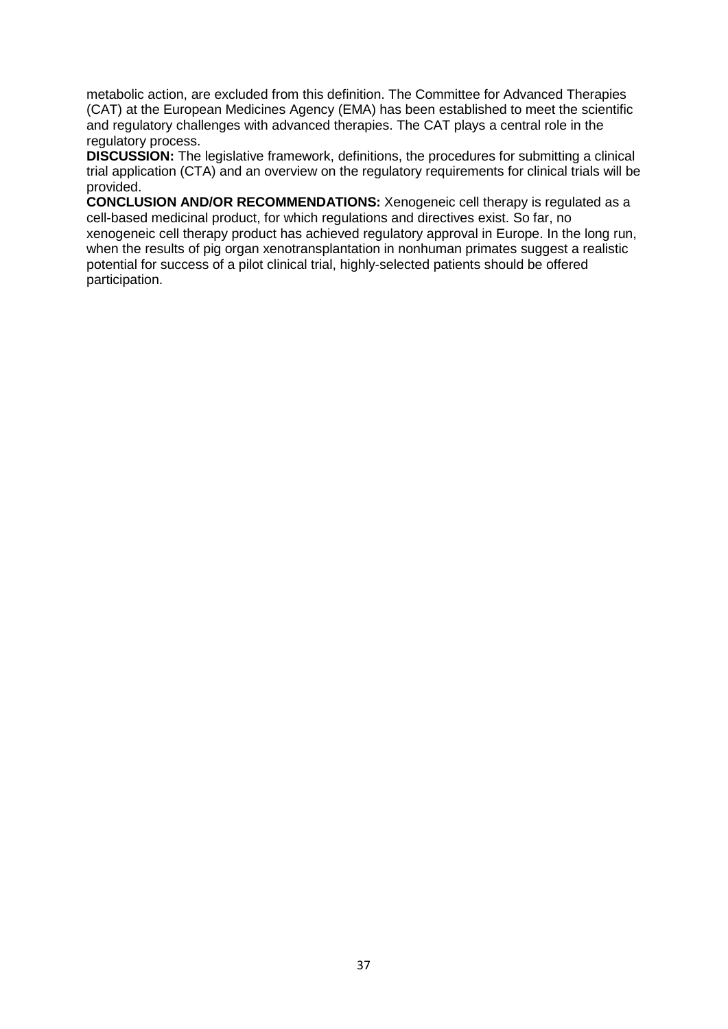metabolic action, are excluded from this definition. The Committee for Advanced Therapies (CAT) at the European Medicines Agency (EMA) has been established to meet the scientific and regulatory challenges with advanced therapies. The CAT plays a central role in the regulatory process.

**DISCUSSION:** The legislative framework, definitions, the procedures for submitting a clinical trial application (CTA) and an overview on the regulatory requirements for clinical trials will be provided.

**CONCLUSION AND/OR RECOMMENDATIONS:** Xenogeneic cell therapy is regulated as a cell-based medicinal product, for which regulations and directives exist. So far, no xenogeneic cell therapy product has achieved regulatory approval in Europe. In the long run, when the results of pig organ xenotransplantation in nonhuman primates suggest a realistic potential for success of a pilot clinical trial, highly-selected patients should be offered participation.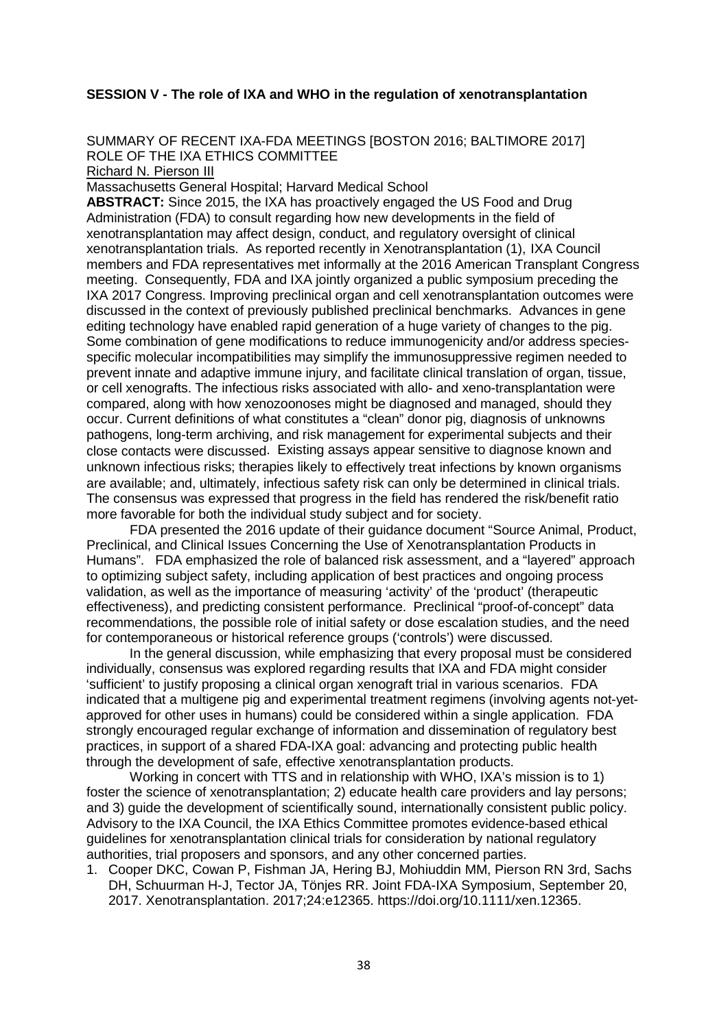#### **SESSION V - The role of IXA and WHO in the regulation of xenotransplantation**

SUMMARY OF RECENT IXA-FDA MEETINGS [BOSTON 2016; BALTIMORE 2017] ROLE OF THE IXA ETHICS COMMITTEE

Richard N. Pierson III

Massachusetts General Hospital; Harvard Medical School

**ABSTRACT:** Since 2015, the IXA has proactively engaged the US Food and Drug Administration (FDA) to consult regarding how new developments in the field of xenotransplantation may affect design, conduct, and regulatory oversight of clinical xenotransplantation trials. As reported recently in Xenotransplantation (1), IXA Council members and FDA representatives met informally at the 2016 American Transplant Congress meeting. Consequently, FDA and IXA jointly organized a public symposium preceding the IXA 2017 Congress. Improving preclinical organ and cell xenotransplantation outcomes were discussed in the context of previously published preclinical benchmarks. Advances in gene editing technology have enabled rapid generation of a huge variety of changes to the pig. Some combination of gene modifications to reduce immunogenicity and/or address speciesspecific molecular incompatibilities may simplify the immunosuppressive regimen needed to prevent innate and adaptive immune injury, and facilitate clinical translation of organ, tissue, or cell xenografts. The infectious risks associated with allo- and xeno-transplantation were compared, along with how xenozoonoses might be diagnosed and managed, should they occur. Current definitions of what constitutes a "clean" donor pig, diagnosis of unknowns pathogens, long-term archiving, and risk management for experimental subjects and their close contacts were discussed. Existing assays appear sensitive to diagnose known and unknown infectious risks; therapies likely to effectively treat infections by known organisms are available; and, ultimately, infectious safety risk can only be determined in clinical trials. The consensus was expressed that progress in the field has rendered the risk/benefit ratio more favorable for both the individual study subject and for society.

FDA presented the 2016 update of their guidance document "Source Animal, Product, Preclinical, and Clinical Issues Concerning the Use of Xenotransplantation Products in Humans". FDA emphasized the role of balanced risk assessment, and a "layered" approach to optimizing subject safety, including application of best practices and ongoing process validation, as well as the importance of measuring 'activity' of the 'product' (therapeutic effectiveness), and predicting consistent performance. Preclinical "proof-of-concept" data recommendations, the possible role of initial safety or dose escalation studies, and the need for contemporaneous or historical reference groups ('controls') were discussed.

In the general discussion, while emphasizing that every proposal must be considered individually, consensus was explored regarding results that IXA and FDA might consider 'sufficient' to justify proposing a clinical organ xenograft trial in various scenarios. FDA indicated that a multigene pig and experimental treatment regimens (involving agents not-yetapproved for other uses in humans) could be considered within a single application. FDA strongly encouraged regular exchange of information and dissemination of regulatory best practices, in support of a shared FDA-IXA goal: advancing and protecting public health through the development of safe, effective xenotransplantation products.

Working in concert with TTS and in relationship with WHO, IXA's mission is to 1) foster the science of xenotransplantation; 2) educate health care providers and lay persons; and 3) guide the development of scientifically sound, internationally consistent public policy. Advisory to the IXA Council, the IXA Ethics Committee promotes evidence-based ethical guidelines for xenotransplantation clinical trials for consideration by national regulatory authorities, trial proposers and sponsors, and any other concerned parties.

1. Cooper DKC, Cowan P, Fishman JA, Hering BJ, Mohiuddin MM, Pierson RN 3rd, Sachs DH, Schuurman H-J, Tector JA, Tönjes RR. Joint FDA-IXA Symposium, September 20, 2017. Xenotransplantation. 2017;24:e12365. https://doi.org/10.1111/xen.12365.